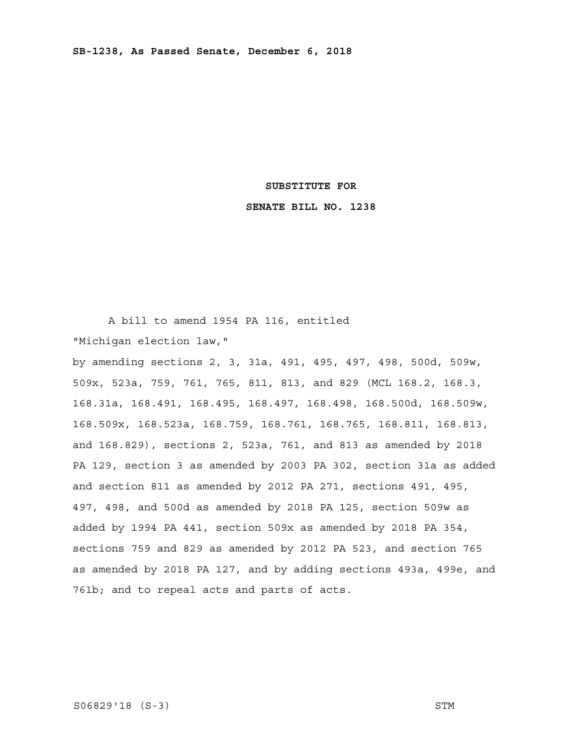# **SUBSTITUTE FOR**

# **SENATE BILL NO. 1238**

 A bill to amend 1954 PA 116, entitled "Michigan election law," by amending sections 2, 3, 31a, 491, 495, 497, 498, 500d, 509w, 509x, 523a, 759, 761, 765, 811, 813, and 829 (MCL 168.2, 168.3, 168.31a, 168.491, 168.495, 168.497, 168.498, 168.500d, 168.509w, 168.509x, 168.523a, 168.759, 168.761, 168.765, 168.811, 168.813, and 168.829), sections 2, 523a, 761, and 813 as amended by 2018 PA 129, section 3 as amended by 2003 PA 302, section 31a as added and section 811 as amended by 2012 PA 271, sections 491, 495,

497, 498, and 500d as amended by 2018 PA 125, section 509w as added by 1994 PA 441, section 509x as amended by 2018 PA 354, sections 759 and 829 as amended by 2012 PA 523, and section 765 as amended by 2018 PA 127, and by adding sections 493a, 499e, and 761b; and to repeal acts and parts of acts.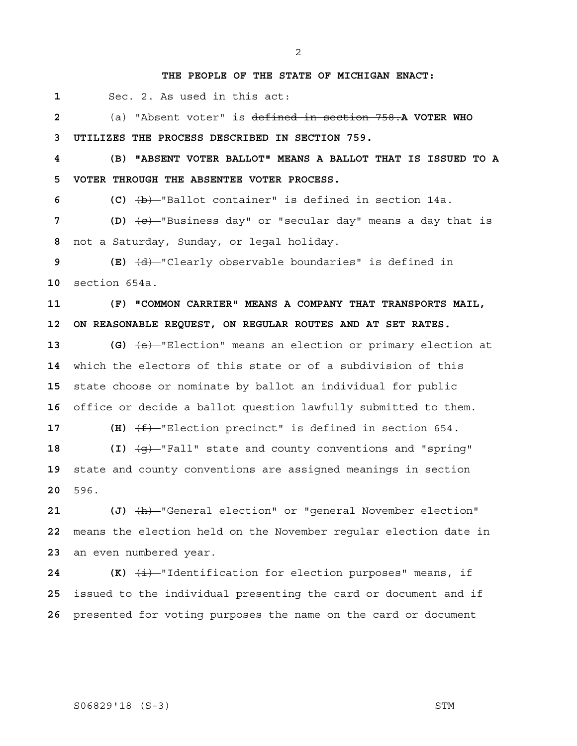# **THE PEOPLE OF THE STATE OF MICHIGAN ENACT:**

 **1** Sec. 2. As used in this act:

 **2** (a) "Absent voter" is defined in section 758.**A VOTER WHO 3 UTILIZES THE PROCESS DESCRIBED IN SECTION 759.**

 **4 (B) "ABSENT VOTER BALLOT" MEANS A BALLOT THAT IS ISSUED TO A 5 VOTER THROUGH THE ABSENTEE VOTER PROCESS.** 

 **6 (C)** (b) "Ballot container" is defined in section 14a.

**7 (D)**  $\overline{(e)}$  "Business day" or "secular day" means a day that is  **8** not a Saturday, Sunday, or legal holiday.

 **9 (E)** (d) "Clearly observable boundaries" is defined in **10** section 654a.

**11 (F) "COMMON CARRIER" MEANS A COMPANY THAT TRANSPORTS MAIL, 12 ON REASONABLE REQUEST, ON REGULAR ROUTES AND AT SET RATES.** 

**13 (G)** (e) "Election" means an election or primary election at which the electors of this state or of a subdivision of this state choose or nominate by ballot an individual for public office or decide a ballot question lawfully submitted to them.

**17 (H)**  $(f)$  **(f)** "Election precinct" is defined in section 654.

18 **(I)**  $\left(\frac{q}{q}\right)$  "Fall" state and county conventions and "spring" **19** state and county conventions are assigned meanings in section **20** 596.

**21** (J)  $\frac{h}{h}$  "General election" or "general November election" **22** means the election held on the November regular election date in **23** an even numbered year.

**24 (K)**  $\overleftrightarrow{\textbf{i}}$  "Identification for election purposes" means, if **25** issued to the individual presenting the card or document and if **26** presented for voting purposes the name on the card or document

# S06829'18 (S-3) STM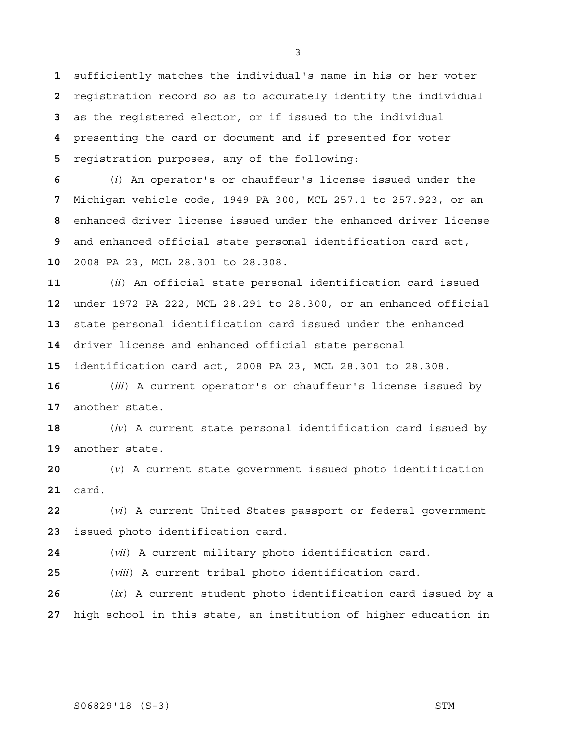sufficiently matches the individual's name in his or her voter registration record so as to accurately identify the individual as the registered elector, or if issued to the individual presenting the card or document and if presented for voter registration purposes, any of the following:

(*i*) An operator's or chauffeur's license issued under the Michigan vehicle code, 1949 PA 300, MCL 257.1 to 257.923, or an enhanced driver license issued under the enhanced driver license and enhanced official state personal identification card act, 2008 PA 23, MCL 28.301 to 28.308.

(*ii*) An official state personal identification card issued under 1972 PA 222, MCL 28.291 to 28.300, or an enhanced official state personal identification card issued under the enhanced driver license and enhanced official state personal

identification card act, 2008 PA 23, MCL 28.301 to 28.308.

(*iii*) A current operator's or chauffeur's license issued by another state.

(*iv*) A current state personal identification card issued by another state.

(*v*) A current state government issued photo identification card.

(*vi*) A current United States passport or federal government issued photo identification card.

(*vii*) A current military photo identification card.

(*viii*) A current tribal photo identification card.

(*ix*) A current student photo identification card issued by a high school in this state, an institution of higher education in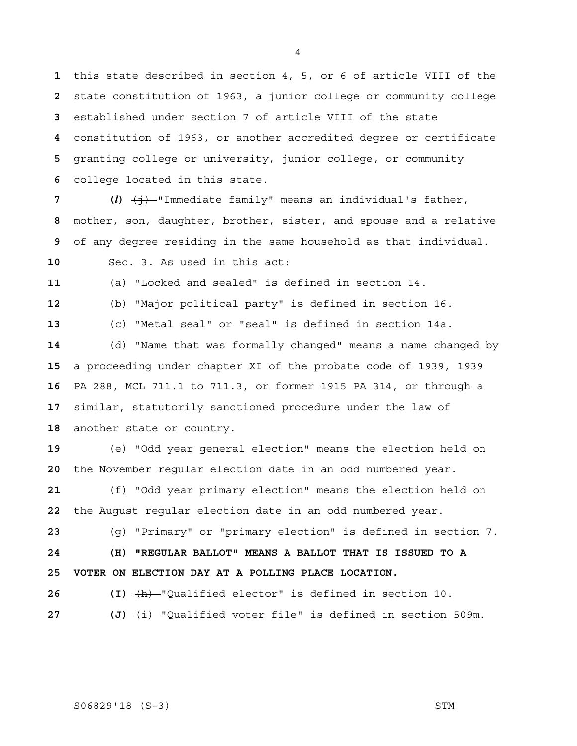this state described in section 4, 5, or 6 of article VIII of the state constitution of 1963, a junior college or community college established under section 7 of article VIII of the state constitution of 1963, or another accredited degree or certificate granting college or university, junior college, or community college located in this state.

 **7 (***l***)** (j) "Immediate family" means an individual's father, mother, son, daughter, brother, sister, and spouse and a relative of any degree residing in the same household as that individual.

Sec. 3. As used in this act:

(a) "Locked and sealed" is defined in section 14.

(b) "Major political party" is defined in section 16.

(c) "Metal seal" or "seal" is defined in section 14a.

(d) "Name that was formally changed" means a name changed by a proceeding under chapter XI of the probate code of 1939, 1939 PA 288, MCL 711.1 to 711.3, or former 1915 PA 314, or through a similar, statutorily sanctioned procedure under the law of another state or country.

(e) "Odd year general election" means the election held on the November regular election date in an odd numbered year.

(f) "Odd year primary election" means the election held on the August regular election date in an odd numbered year.

(g) "Primary" or "primary election" is defined in section 7. **24 (H) "REGULAR BALLOT" MEANS A BALLOT THAT IS ISSUED TO A** 

**26 (I)** (h) "Qualified elector" is defined in section 10.

**27** (J)  $\left(\frac{1}{2}\right)$  - "Qualified voter file" is defined in section 509m.

**25 VOTER ON ELECTION DAY AT A POLLING PLACE LOCATION.**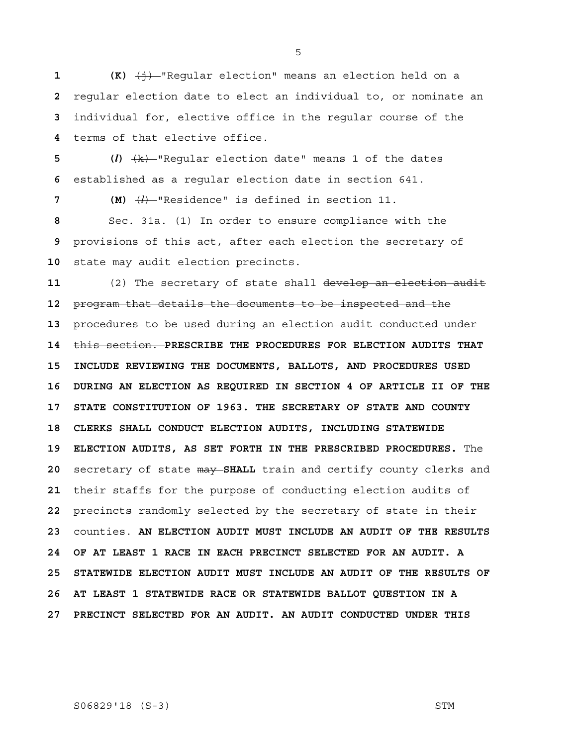**(K)**  $\left(\frac{1}{2}\right)$  "Regular election" means an election held on a regular election date to elect an individual to, or nominate an individual for, elective office in the regular course of the terms of that elective office.

 **5 (***l***)** (k) "Regular election date" means 1 of the dates  **6** established as a regular election date in section 641.

 **7 (M)** (*l*) "Residence" is defined in section 11.

 **8** Sec. 31a. (1) In order to ensure compliance with the  **9** provisions of this act, after each election the secretary of **10** state may audit election precincts.

**11** (2) The secretary of state shall develop an election audit **12** program that details the documents to be inspected and the **13** procedures to be used during an election audit conducted under **14** this section. **PRESCRIBE THE PROCEDURES FOR ELECTION AUDITS THAT 15 INCLUDE REVIEWING THE DOCUMENTS, BALLOTS, AND PROCEDURES USED 16 DURING AN ELECTION AS REQUIRED IN SECTION 4 OF ARTICLE II OF THE 17 STATE CONSTITUTION OF 1963. THE SECRETARY OF STATE AND COUNTY 18 CLERKS SHALL CONDUCT ELECTION AUDITS, INCLUDING STATEWIDE 19 ELECTION AUDITS, AS SET FORTH IN THE PRESCRIBED PROCEDURES.** The **20** secretary of state may **SHALL** train and certify county clerks and **21** their staffs for the purpose of conducting election audits of **22** precincts randomly selected by the secretary of state in their **23** counties. **AN ELECTION AUDIT MUST INCLUDE AN AUDIT OF THE RESULTS 24 OF AT LEAST 1 RACE IN EACH PRECINCT SELECTED FOR AN AUDIT. A 25 STATEWIDE ELECTION AUDIT MUST INCLUDE AN AUDIT OF THE RESULTS OF 26 AT LEAST 1 STATEWIDE RACE OR STATEWIDE BALLOT QUESTION IN A 27 PRECINCT SELECTED FOR AN AUDIT. AN AUDIT CONDUCTED UNDER THIS** 

S06829'18 (S-3) STM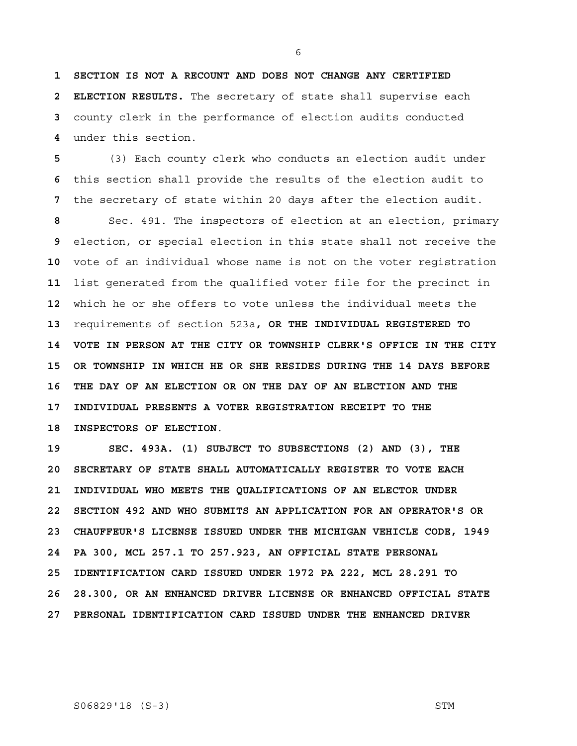**1 SECTION IS NOT A RECOUNT AND DOES NOT CHANGE ANY CERTIFIED 2 ELECTION RESULTS.** The secretary of state shall supervise each  **3** county clerk in the performance of election audits conducted  **4** under this section.

 **5** (3) Each county clerk who conducts an election audit under  **6** this section shall provide the results of the election audit to  **7** the secretary of state within 20 days after the election audit.

**8** Sec. 491. The inspectors of election at an election, primary  **9** election, or special election in this state shall not receive the **10** vote of an individual whose name is not on the voter registration **11** list generated from the qualified voter file for the precinct in **12** which he or she offers to vote unless the individual meets the **13** requirements of section 523a**, OR THE INDIVIDUAL REGISTERED TO 14 VOTE IN PERSON AT THE CITY OR TOWNSHIP CLERK'S OFFICE IN THE CITY 15 OR TOWNSHIP IN WHICH HE OR SHE RESIDES DURING THE 14 DAYS BEFORE 16 THE DAY OF AN ELECTION OR ON THE DAY OF AN ELECTION AND THE 17 INDIVIDUAL PRESENTS A VOTER REGISTRATION RECEIPT TO THE 18 INSPECTORS OF ELECTION**.

**19 SEC. 493A. (1) SUBJECT TO SUBSECTIONS (2) AND (3), THE 20 SECRETARY OF STATE SHALL AUTOMATICALLY REGISTER TO VOTE EACH 21 INDIVIDUAL WHO MEETS THE QUALIFICATIONS OF AN ELECTOR UNDER 22 SECTION 492 AND WHO SUBMITS AN APPLICATION FOR AN OPERATOR'S OR 23 CHAUFFEUR'S LICENSE ISSUED UNDER THE MICHIGAN VEHICLE CODE, 1949 24 PA 300, MCL 257.1 TO 257.923, AN OFFICIAL STATE PERSONAL 25 IDENTIFICATION CARD ISSUED UNDER 1972 PA 222, MCL 28.291 TO 26 28.300, OR AN ENHANCED DRIVER LICENSE OR ENHANCED OFFICIAL STATE 27 PERSONAL IDENTIFICATION CARD ISSUED UNDER THE ENHANCED DRIVER** 

#### S06829'18 (S-3) STM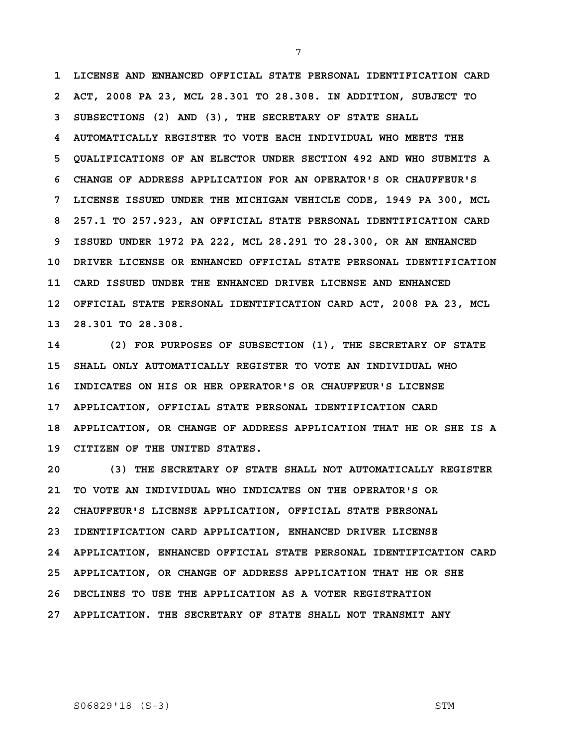**1 LICENSE AND ENHANCED OFFICIAL STATE PERSONAL IDENTIFICATION CARD 2 ACT, 2008 PA 23, MCL 28.301 TO 28.308. IN ADDITION, SUBJECT TO 3 SUBSECTIONS (2) AND (3), THE SECRETARY OF STATE SHALL 4 AUTOMATICALLY REGISTER TO VOTE EACH INDIVIDUAL WHO MEETS THE 5 QUALIFICATIONS OF AN ELECTOR UNDER SECTION 492 AND WHO SUBMITS A 6 CHANGE OF ADDRESS APPLICATION FOR AN OPERATOR'S OR CHAUFFEUR'S 7 LICENSE ISSUED UNDER THE MICHIGAN VEHICLE CODE, 1949 PA 300, MCL 8 257.1 TO 257.923, AN OFFICIAL STATE PERSONAL IDENTIFICATION CARD 9 ISSUED UNDER 1972 PA 222, MCL 28.291 TO 28.300, OR AN ENHANCED 10 DRIVER LICENSE OR ENHANCED OFFICIAL STATE PERSONAL IDENTIFICATION 11 CARD ISSUED UNDER THE ENHANCED DRIVER LICENSE AND ENHANCED 12 OFFICIAL STATE PERSONAL IDENTIFICATION CARD ACT, 2008 PA 23, MCL 13 28.301 TO 28.308.** 

**14 (2) FOR PURPOSES OF SUBSECTION (1), THE SECRETARY OF STATE 15 SHALL ONLY AUTOMATICALLY REGISTER TO VOTE AN INDIVIDUAL WHO 16 INDICATES ON HIS OR HER OPERATOR'S OR CHAUFFEUR'S LICENSE 17 APPLICATION, OFFICIAL STATE PERSONAL IDENTIFICATION CARD 18 APPLICATION, OR CHANGE OF ADDRESS APPLICATION THAT HE OR SHE IS A 19 CITIZEN OF THE UNITED STATES.** 

**20 (3) THE SECRETARY OF STATE SHALL NOT AUTOMATICALLY REGISTER 21 TO VOTE AN INDIVIDUAL WHO INDICATES ON THE OPERATOR'S OR 22 CHAUFFEUR'S LICENSE APPLICATION, OFFICIAL STATE PERSONAL 23 IDENTIFICATION CARD APPLICATION, ENHANCED DRIVER LICENSE 24 APPLICATION, ENHANCED OFFICIAL STATE PERSONAL IDENTIFICATION CARD 25 APPLICATION, OR CHANGE OF ADDRESS APPLICATION THAT HE OR SHE 26 DECLINES TO USE THE APPLICATION AS A VOTER REGISTRATION 27 APPLICATION. THE SECRETARY OF STATE SHALL NOT TRANSMIT ANY** 

# S06829'18 (S-3) STM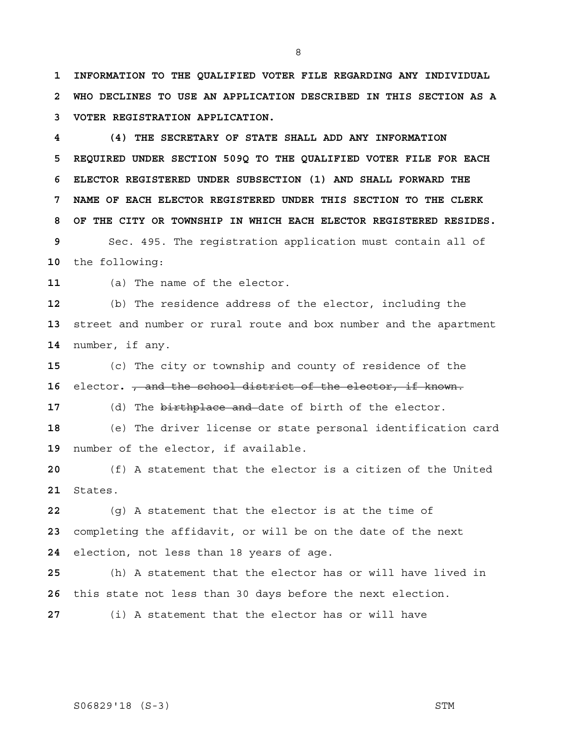**1 INFORMATION TO THE QUALIFIED VOTER FILE REGARDING ANY INDIVIDUAL 2 WHO DECLINES TO USE AN APPLICATION DESCRIBED IN THIS SECTION AS A 3 VOTER REGISTRATION APPLICATION.** 

 **4 (4) THE SECRETARY OF STATE SHALL ADD ANY INFORMATION 5 REQUIRED UNDER SECTION 509Q TO THE QUALIFIED VOTER FILE FOR EACH 6 ELECTOR REGISTERED UNDER SUBSECTION (1) AND SHALL FORWARD THE 7 NAME OF EACH ELECTOR REGISTERED UNDER THIS SECTION TO THE CLERK 8 OF THE CITY OR TOWNSHIP IN WHICH EACH ELECTOR REGISTERED RESIDES.** 

Sec. 495. The registration application must contain all of the following:

(a) The name of the elector.

(b) The residence address of the elector, including the street and number or rural route and box number and the apartment number, if any.

(c) The city or township and county of residence of the elector**.** , and the school district of the elector, if known.

(d) The birthplace and date of birth of the elector.

(e) The driver license or state personal identification card number of the elector, if available.

(f) A statement that the elector is a citizen of the United States.

(g) A statement that the elector is at the time of completing the affidavit, or will be on the date of the next election, not less than 18 years of age.

(h) A statement that the elector has or will have lived in this state not less than 30 days before the next election.

(i) A statement that the elector has or will have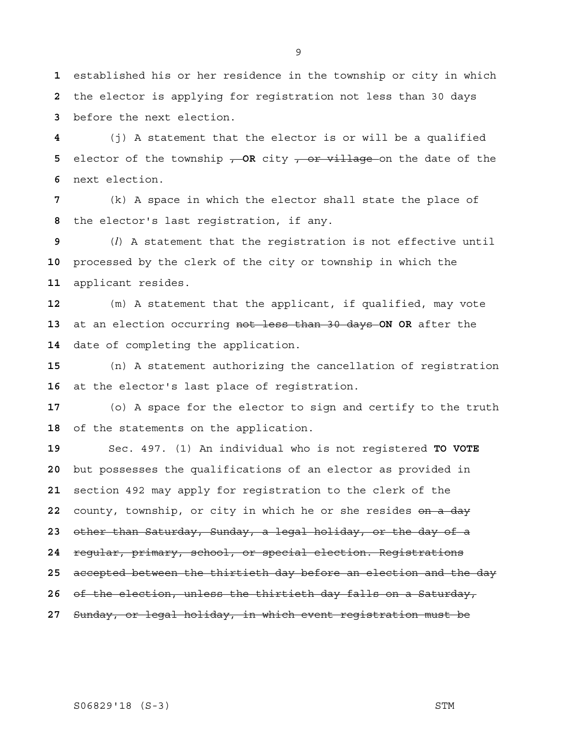established his or her residence in the township or city in which the elector is applying for registration not less than 30 days before the next election.

(j) A statement that the elector is or will be a qualified **5** elector of the township  $\rightarrow$  OR city  $\rightarrow$  or village on the date of the next election.

(k) A space in which the elector shall state the place of the elector's last registration, if any.

(*l*) A statement that the registration is not effective until processed by the clerk of the city or township in which the applicant resides.

(m) A statement that the applicant, if qualified, may vote at an election occurring not less than 30 days **ON OR** after the date of completing the application.

(n) A statement authorizing the cancellation of registration at the elector's last place of registration.

(o) A space for the elector to sign and certify to the truth of the statements on the application.

Sec. 497. (1) An individual who is not registered **TO VOTE**  but possesses the qualifications of an elector as provided in section 492 may apply for registration to the clerk of the county, township, or city in which he or she resides on a day other than Saturday, Sunday, a legal holiday, or the day of a regular, primary, school, or special election. Registrations accepted between the thirtieth day before an election and the day of the election, unless the thirtieth day falls on a Saturday, Sunday, or legal holiday, in which event registration must be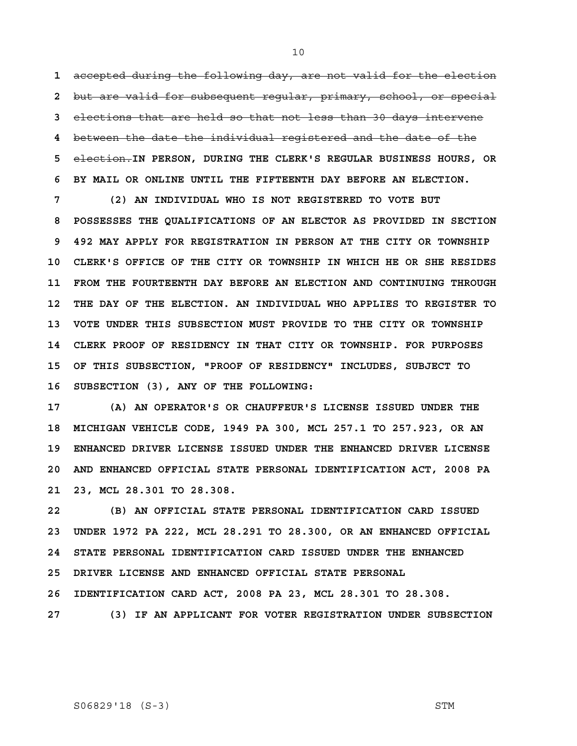accepted during the following day, are not valid for the election but are valid for subsequent regular, primary, school, or special elections that are held so that not less than 30 days intervene between the date the individual registered and the date of the election.**IN PERSON, DURING THE CLERK'S REGULAR BUSINESS HOURS, OR 6 BY MAIL OR ONLINE UNTIL THE FIFTEENTH DAY BEFORE AN ELECTION.** 

 **7 (2) AN INDIVIDUAL WHO IS NOT REGISTERED TO VOTE BUT 8 POSSESSES THE QUALIFICATIONS OF AN ELECTOR AS PROVIDED IN SECTION 9 492 MAY APPLY FOR REGISTRATION IN PERSON AT THE CITY OR TOWNSHIP 10 CLERK'S OFFICE OF THE CITY OR TOWNSHIP IN WHICH HE OR SHE RESIDES 11 FROM THE FOURTEENTH DAY BEFORE AN ELECTION AND CONTINUING THROUGH 12 THE DAY OF THE ELECTION. AN INDIVIDUAL WHO APPLIES TO REGISTER TO 13 VOTE UNDER THIS SUBSECTION MUST PROVIDE TO THE CITY OR TOWNSHIP 14 CLERK PROOF OF RESIDENCY IN THAT CITY OR TOWNSHIP. FOR PURPOSES 15 OF THIS SUBSECTION, "PROOF OF RESIDENCY" INCLUDES, SUBJECT TO 16 SUBSECTION (3), ANY OF THE FOLLOWING:** 

**17 (A) AN OPERATOR'S OR CHAUFFEUR'S LICENSE ISSUED UNDER THE 18 MICHIGAN VEHICLE CODE, 1949 PA 300, MCL 257.1 TO 257.923, OR AN 19 ENHANCED DRIVER LICENSE ISSUED UNDER THE ENHANCED DRIVER LICENSE 20 AND ENHANCED OFFICIAL STATE PERSONAL IDENTIFICATION ACT, 2008 PA 21 23, MCL 28.301 TO 28.308.** 

**22 (B) AN OFFICIAL STATE PERSONAL IDENTIFICATION CARD ISSUED 23 UNDER 1972 PA 222, MCL 28.291 TO 28.300, OR AN ENHANCED OFFICIAL 24 STATE PERSONAL IDENTIFICATION CARD ISSUED UNDER THE ENHANCED 25 DRIVER LICENSE AND ENHANCED OFFICIAL STATE PERSONAL 26 IDENTIFICATION CARD ACT, 2008 PA 23, MCL 28.301 TO 28.308.** 

**27 (3) IF AN APPLICANT FOR VOTER REGISTRATION UNDER SUBSECTION** 

# S06829'18 (S-3) STM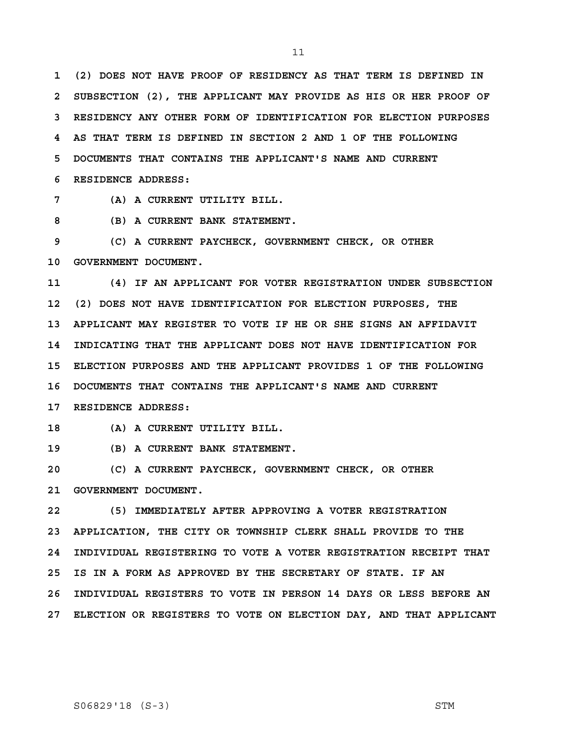**1 (2) DOES NOT HAVE PROOF OF RESIDENCY AS THAT TERM IS DEFINED IN 2 SUBSECTION (2), THE APPLICANT MAY PROVIDE AS HIS OR HER PROOF OF 3 RESIDENCY ANY OTHER FORM OF IDENTIFICATION FOR ELECTION PURPOSES 4 AS THAT TERM IS DEFINED IN SECTION 2 AND 1 OF THE FOLLOWING 5 DOCUMENTS THAT CONTAINS THE APPLICANT'S NAME AND CURRENT 6 RESIDENCE ADDRESS:** 

 **7 (A) A CURRENT UTILITY BILL.** 

 **8 (B) A CURRENT BANK STATEMENT.** 

 **9 (C) A CURRENT PAYCHECK, GOVERNMENT CHECK, OR OTHER 10 GOVERNMENT DOCUMENT.** 

**11 (4) IF AN APPLICANT FOR VOTER REGISTRATION UNDER SUBSECTION 12 (2) DOES NOT HAVE IDENTIFICATION FOR ELECTION PURPOSES, THE 13 APPLICANT MAY REGISTER TO VOTE IF HE OR SHE SIGNS AN AFFIDAVIT 14 INDICATING THAT THE APPLICANT DOES NOT HAVE IDENTIFICATION FOR 15 ELECTION PURPOSES AND THE APPLICANT PROVIDES 1 OF THE FOLLOWING 16 DOCUMENTS THAT CONTAINS THE APPLICANT'S NAME AND CURRENT 17 RESIDENCE ADDRESS:** 

**18 (A) A CURRENT UTILITY BILL.** 

**19 (B) A CURRENT BANK STATEMENT.** 

**20 (C) A CURRENT PAYCHECK, GOVERNMENT CHECK, OR OTHER 21 GOVERNMENT DOCUMENT.** 

**22 (5) IMMEDIATELY AFTER APPROVING A VOTER REGISTRATION 23 APPLICATION, THE CITY OR TOWNSHIP CLERK SHALL PROVIDE TO THE 24 INDIVIDUAL REGISTERING TO VOTE A VOTER REGISTRATION RECEIPT THAT 25 IS IN A FORM AS APPROVED BY THE SECRETARY OF STATE. IF AN 26 INDIVIDUAL REGISTERS TO VOTE IN PERSON 14 DAYS OR LESS BEFORE AN 27 ELECTION OR REGISTERS TO VOTE ON ELECTION DAY, AND THAT APPLICANT**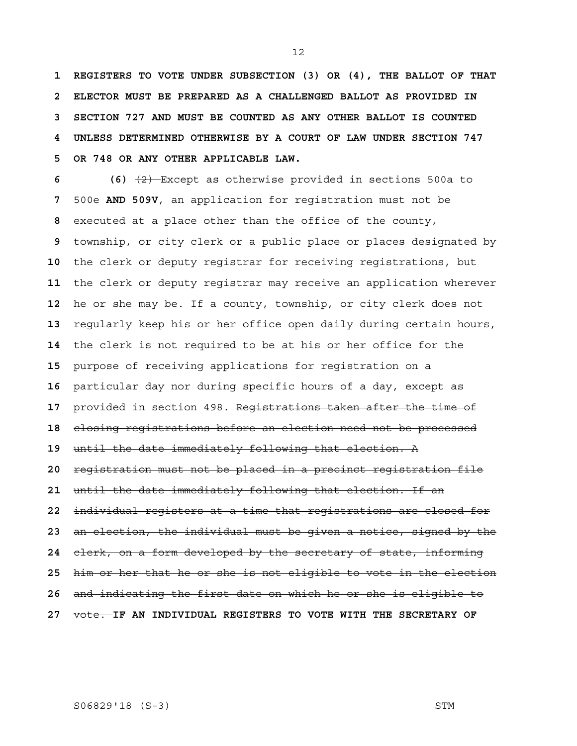**1 REGISTERS TO VOTE UNDER SUBSECTION (3) OR (4), THE BALLOT OF THAT 2 ELECTOR MUST BE PREPARED AS A CHALLENGED BALLOT AS PROVIDED IN 3 SECTION 727 AND MUST BE COUNTED AS ANY OTHER BALLOT IS COUNTED 4 UNLESS DETERMINED OTHERWISE BY A COURT OF LAW UNDER SECTION 747 5 OR 748 OR ANY OTHER APPLICABLE LAW.**

 **6 (6)** (2) Except as otherwise provided in sections 500a to 500e **AND 509V**, an application for registration must not be executed at a place other than the office of the county, township, or city clerk or a public place or places designated by the clerk or deputy registrar for receiving registrations, but the clerk or deputy registrar may receive an application wherever he or she may be. If a county, township, or city clerk does not regularly keep his or her office open daily during certain hours, the clerk is not required to be at his or her office for the purpose of receiving applications for registration on a particular day nor during specific hours of a day, except as provided in section 498. Registrations taken after the time of closing registrations before an election need not be processed until the date immediately following that election. A registration must not be placed in a precinct registration file until the date immediately following that election. If an individual registers at a time that registrations are closed for an election, the individual must be given a notice, signed by the clerk, on a form developed by the secretary of state, informing him or her that he or she is not eligible to vote in the election and indicating the first date on which he or she is eligible to vote. **IF AN INDIVIDUAL REGISTERS TO VOTE WITH THE SECRETARY OF** 

# S06829'18 (S-3) STM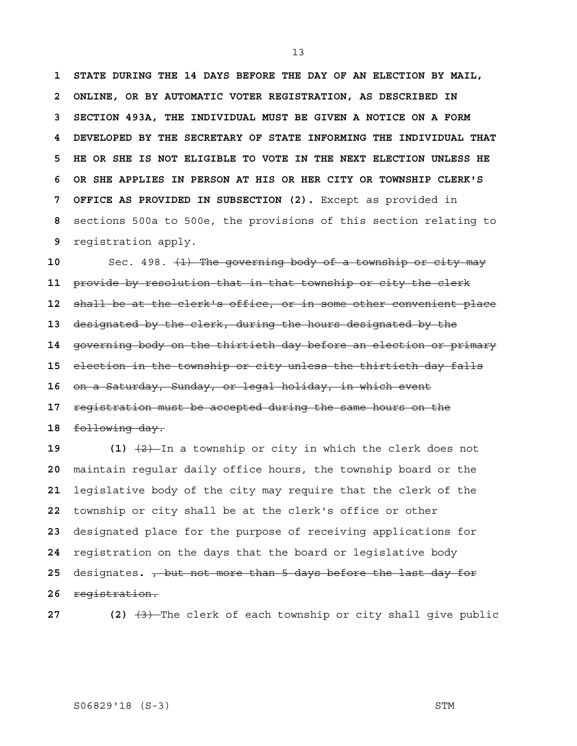**1 STATE DURING THE 14 DAYS BEFORE THE DAY OF AN ELECTION BY MAIL, 2 ONLINE, OR BY AUTOMATIC VOTER REGISTRATION, AS DESCRIBED IN 3 SECTION 493A, THE INDIVIDUAL MUST BE GIVEN A NOTICE ON A FORM 4 DEVELOPED BY THE SECRETARY OF STATE INFORMING THE INDIVIDUAL THAT 5 HE OR SHE IS NOT ELIGIBLE TO VOTE IN THE NEXT ELECTION UNLESS HE 6 OR SHE APPLIES IN PERSON AT HIS OR HER CITY OR TOWNSHIP CLERK'S 7 OFFICE AS PROVIDED IN SUBSECTION (2).** Except as provided in sections 500a to 500e, the provisions of this section relating to registration apply.

Sec. 498. (1) The governing body of a township or city may provide by resolution that in that township or city the clerk shall be at the clerk's office, or in some other convenient place designated by the clerk, during the hours designated by the governing body on the thirtieth day before an election or primary election in the township or city unless the thirtieth day falls on a Saturday, Sunday, or legal holiday, in which event registration must be accepted during the same hours on the following day.

 (1)  $\frac{1}{2}$  In a township or city in which the clerk does not maintain regular daily office hours, the township board or the legislative body of the city may require that the clerk of the township or city shall be at the clerk's office or other designated place for the purpose of receiving applications for registration on the days that the board or legislative body designates**.** , but not more than 5 days before the last day for registration.

**27** (2)  $\left(3\right)$  The clerk of each township or city shall give public

# S06829'18 (S-3) STM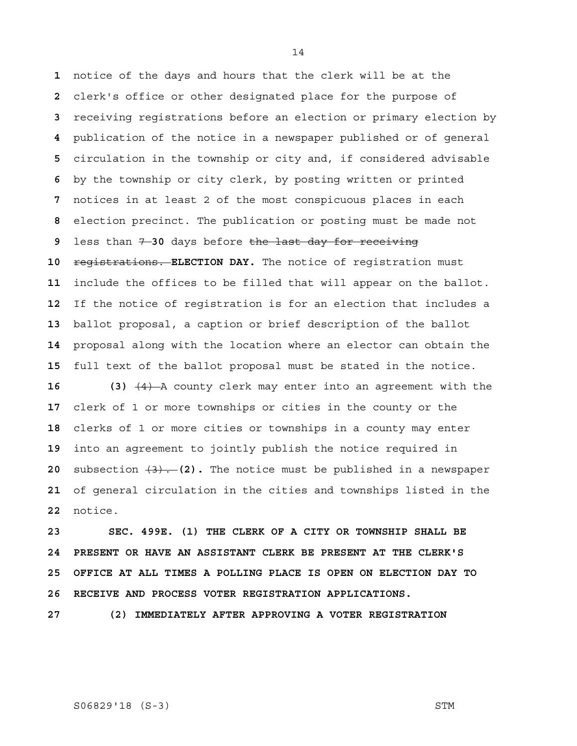notice of the days and hours that the clerk will be at the clerk's office or other designated place for the purpose of receiving registrations before an election or primary election by publication of the notice in a newspaper published or of general circulation in the township or city and, if considered advisable by the township or city clerk, by posting written or printed notices in at least 2 of the most conspicuous places in each election precinct. The publication or posting must be made not less than 7 **30** days before the last day for receiving **registrations. ELECTION DAY.** The notice of registration must include the offices to be filled that will appear on the ballot. If the notice of registration is for an election that includes a ballot proposal, a caption or brief description of the ballot proposal along with the location where an elector can obtain the full text of the ballot proposal must be stated in the notice.

**16 (3)** (4) A county clerk may enter into an agreement with the clerk of 1 or more townships or cities in the county or the clerks of 1 or more cities or townships in a county may enter into an agreement to jointly publish the notice required in subsection (3). **(2).** The notice must be published in a newspaper of general circulation in the cities and townships listed in the notice.

**23 SEC. 499E. (1) THE CLERK OF A CITY OR TOWNSHIP SHALL BE 24 PRESENT OR HAVE AN ASSISTANT CLERK BE PRESENT AT THE CLERK'S 25 OFFICE AT ALL TIMES A POLLING PLACE IS OPEN ON ELECTION DAY TO 26 RECEIVE AND PROCESS VOTER REGISTRATION APPLICATIONS.** 

**27 (2) IMMEDIATELY AFTER APPROVING A VOTER REGISTRATION** 

# S06829'18 (S-3) STM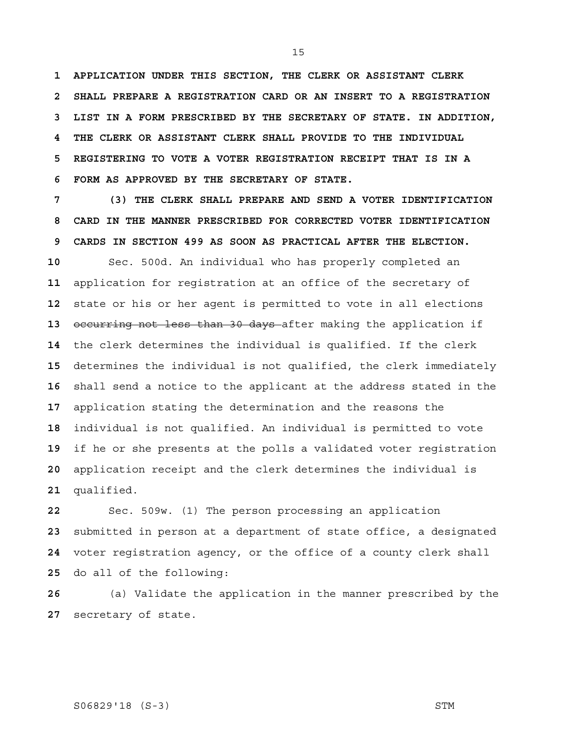**1 APPLICATION UNDER THIS SECTION, THE CLERK OR ASSISTANT CLERK 2 SHALL PREPARE A REGISTRATION CARD OR AN INSERT TO A REGISTRATION 3 LIST IN A FORM PRESCRIBED BY THE SECRETARY OF STATE. IN ADDITION, 4 THE CLERK OR ASSISTANT CLERK SHALL PROVIDE TO THE INDIVIDUAL 5 REGISTERING TO VOTE A VOTER REGISTRATION RECEIPT THAT IS IN A 6 FORM AS APPROVED BY THE SECRETARY OF STATE.** 

 **7 (3) THE CLERK SHALL PREPARE AND SEND A VOTER IDENTIFICATION 8 CARD IN THE MANNER PRESCRIBED FOR CORRECTED VOTER IDENTIFICATION 9 CARDS IN SECTION 499 AS SOON AS PRACTICAL AFTER THE ELECTION.** 

Sec. 500d. An individual who has properly completed an application for registration at an office of the secretary of state or his or her agent is permitted to vote in all elections occurring not less than 30 days after making the application if the clerk determines the individual is qualified. If the clerk determines the individual is not qualified, the clerk immediately shall send a notice to the applicant at the address stated in the application stating the determination and the reasons the individual is not qualified. An individual is permitted to vote if he or she presents at the polls a validated voter registration application receipt and the clerk determines the individual is qualified.

Sec. 509w. (1) The person processing an application submitted in person at a department of state office, a designated voter registration agency, or the office of a county clerk shall do all of the following:

(a) Validate the application in the manner prescribed by the secretary of state.

# S06829'18 (S-3) STM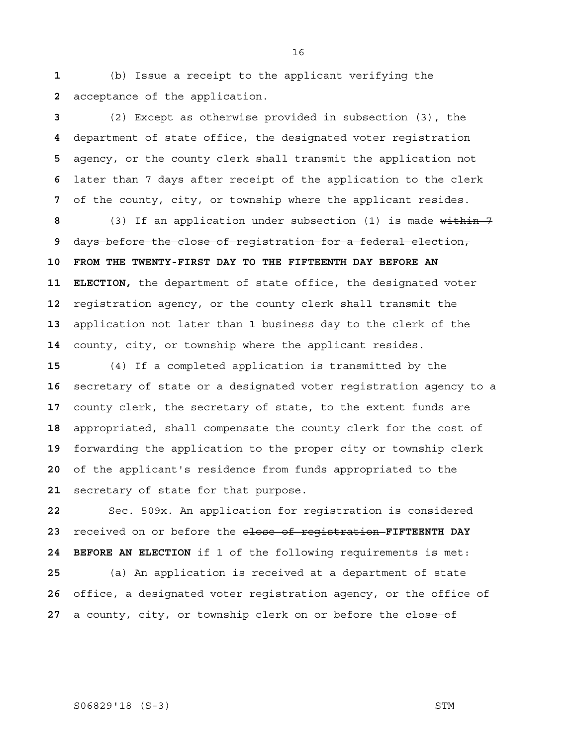(b) Issue a receipt to the applicant verifying the acceptance of the application.

(2) Except as otherwise provided in subsection (3), the department of state office, the designated voter registration agency, or the county clerk shall transmit the application not later than 7 days after receipt of the application to the clerk of the county, city, or township where the applicant resides.

(3) If an application under subsection (1) is made within 7 days before the close of registration for a federal election, **10 FROM THE TWENTY-FIRST DAY TO THE FIFTEENTH DAY BEFORE AN 11 ELECTION,** the department of state office, the designated voter registration agency, or the county clerk shall transmit the application not later than 1 business day to the clerk of the county, city, or township where the applicant resides.

(4) If a completed application is transmitted by the secretary of state or a designated voter registration agency to a county clerk, the secretary of state, to the extent funds are appropriated, shall compensate the county clerk for the cost of forwarding the application to the proper city or township clerk of the applicant's residence from funds appropriated to the secretary of state for that purpose.

Sec. 509x. An application for registration is considered received on or before the close of registration **FIFTEENTH DAY 24 BEFORE AN ELECTION** if 1 of the following requirements is met: (a) An application is received at a department of state office, a designated voter registration agency, or the office of 27 a county, city, or township clerk on or before the elose of

# S06829'18 (S-3) STM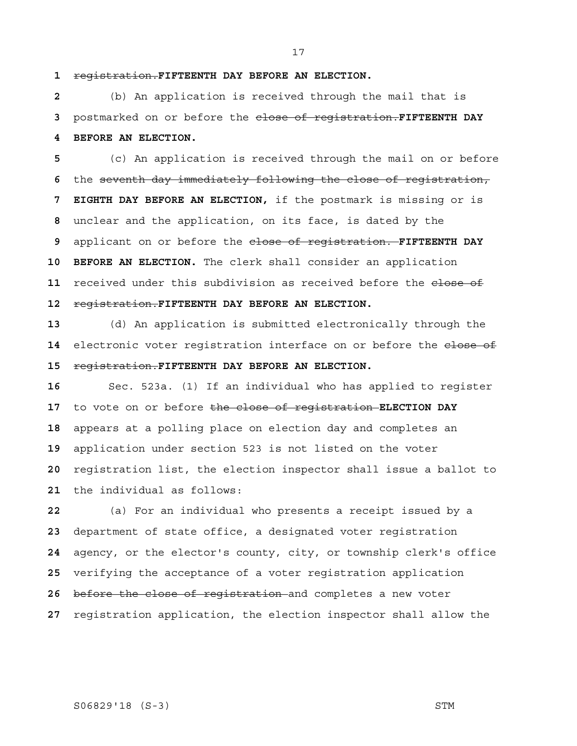registration.**FIFTEENTH DAY BEFORE AN ELECTION.**

(b) An application is received through the mail that is postmarked on or before the close of registration.**FIFTEENTH DAY 4 BEFORE AN ELECTION.**

(c) An application is received through the mail on or before the seventh day immediately following the close of registration,  **7 EIGHTH DAY BEFORE AN ELECTION,** if the postmark is missing or is unclear and the application, on its face, is dated by the applicant on or before the close of registration. **FIFTEENTH DAY 10 BEFORE AN ELECTION.** The clerk shall consider an application 11 received under this subdivision as received before the elose of registration.**FIFTEENTH DAY BEFORE AN ELECTION.**

(d) An application is submitted electronically through the 14 electronic voter registration interface on or before the elose of registration.**FIFTEENTH DAY BEFORE AN ELECTION.**

Sec. 523a. (1) If an individual who has applied to register to vote on or before the close of registration **ELECTION DAY**  appears at a polling place on election day and completes an application under section 523 is not listed on the voter registration list, the election inspector shall issue a ballot to the individual as follows:

(a) For an individual who presents a receipt issued by a department of state office, a designated voter registration agency, or the elector's county, city, or township clerk's office verifying the acceptance of a voter registration application before the close of registration and completes a new voter registration application, the election inspector shall allow the

# S06829'18 (S-3) STM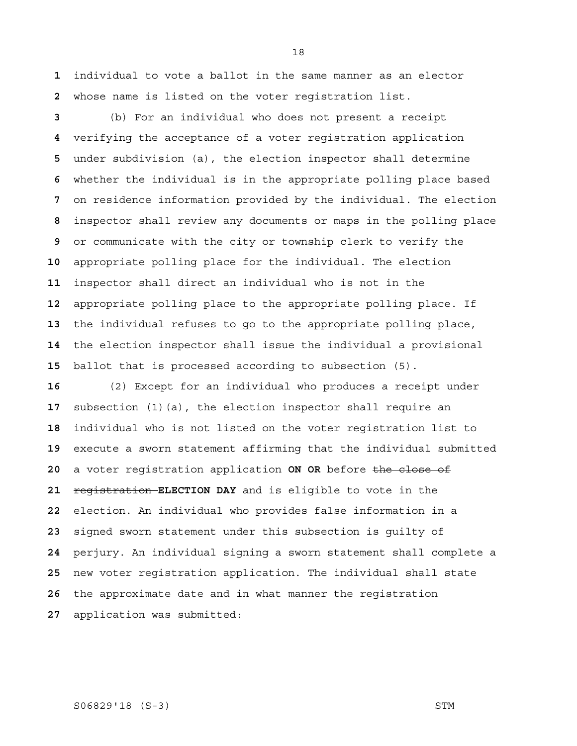individual to vote a ballot in the same manner as an elector whose name is listed on the voter registration list.

(b) For an individual who does not present a receipt verifying the acceptance of a voter registration application under subdivision (a), the election inspector shall determine whether the individual is in the appropriate polling place based on residence information provided by the individual. The election inspector shall review any documents or maps in the polling place or communicate with the city or township clerk to verify the appropriate polling place for the individual. The election inspector shall direct an individual who is not in the appropriate polling place to the appropriate polling place. If the individual refuses to go to the appropriate polling place, the election inspector shall issue the individual a provisional ballot that is processed according to subsection (5).

(2) Except for an individual who produces a receipt under subsection (1)(a), the election inspector shall require an individual who is not listed on the voter registration list to execute a sworn statement affirming that the individual submitted a voter registration application **ON OR** before the close of registration **ELECTION DAY** and is eligible to vote in the election. An individual who provides false information in a signed sworn statement under this subsection is guilty of perjury. An individual signing a sworn statement shall complete a new voter registration application. The individual shall state the approximate date and in what manner the registration application was submitted:

# S06829'18 (S-3) STM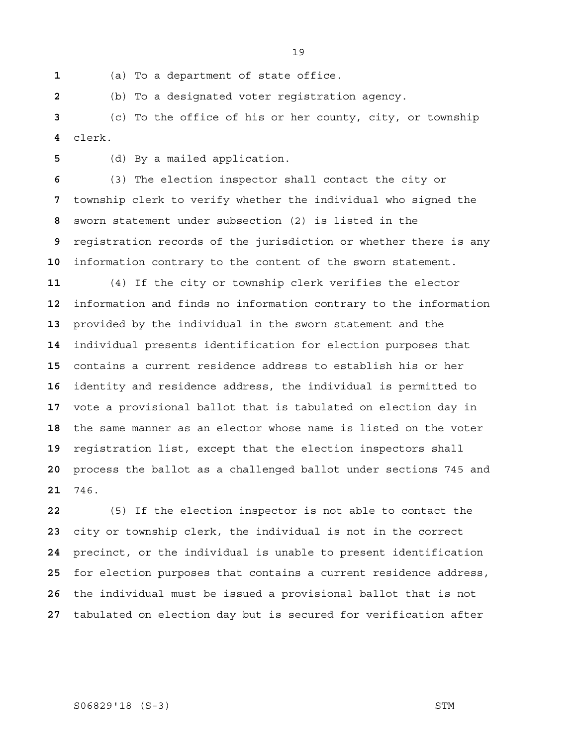(a) To a department of state office.

(b) To a designated voter registration agency.

(c) To the office of his or her county, city, or township clerk.

(d) By a mailed application.

(3) The election inspector shall contact the city or township clerk to verify whether the individual who signed the sworn statement under subsection (2) is listed in the registration records of the jurisdiction or whether there is any information contrary to the content of the sworn statement.

(4) If the city or township clerk verifies the elector information and finds no information contrary to the information provided by the individual in the sworn statement and the individual presents identification for election purposes that contains a current residence address to establish his or her identity and residence address, the individual is permitted to vote a provisional ballot that is tabulated on election day in the same manner as an elector whose name is listed on the voter registration list, except that the election inspectors shall process the ballot as a challenged ballot under sections 745 and 746.

(5) If the election inspector is not able to contact the city or township clerk, the individual is not in the correct precinct, or the individual is unable to present identification for election purposes that contains a current residence address, the individual must be issued a provisional ballot that is not tabulated on election day but is secured for verification after

# S06829'18 (S-3) STM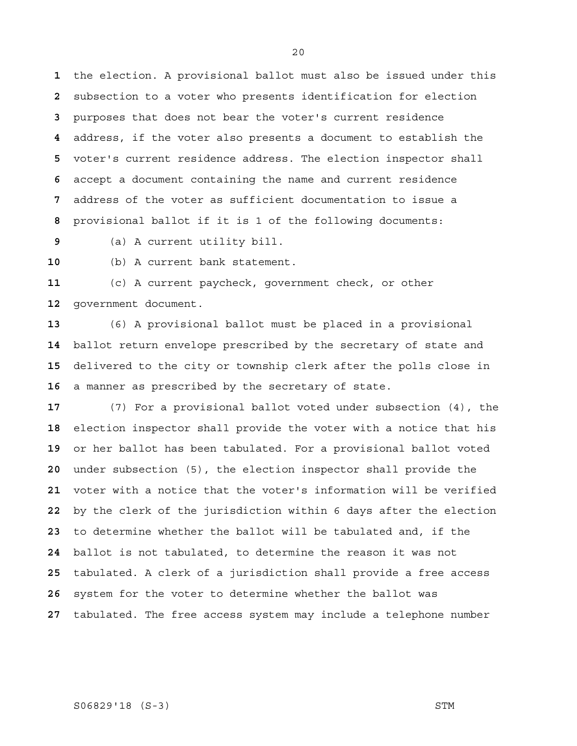the election. A provisional ballot must also be issued under this subsection to a voter who presents identification for election purposes that does not bear the voter's current residence address, if the voter also presents a document to establish the voter's current residence address. The election inspector shall accept a document containing the name and current residence address of the voter as sufficient documentation to issue a provisional ballot if it is 1 of the following documents:

(a) A current utility bill.

(b) A current bank statement.

(c) A current paycheck, government check, or other government document.

(6) A provisional ballot must be placed in a provisional ballot return envelope prescribed by the secretary of state and delivered to the city or township clerk after the polls close in a manner as prescribed by the secretary of state.

(7) For a provisional ballot voted under subsection (4), the election inspector shall provide the voter with a notice that his or her ballot has been tabulated. For a provisional ballot voted under subsection (5), the election inspector shall provide the voter with a notice that the voter's information will be verified by the clerk of the jurisdiction within 6 days after the election to determine whether the ballot will be tabulated and, if the ballot is not tabulated, to determine the reason it was not tabulated. A clerk of a jurisdiction shall provide a free access system for the voter to determine whether the ballot was tabulated. The free access system may include a telephone number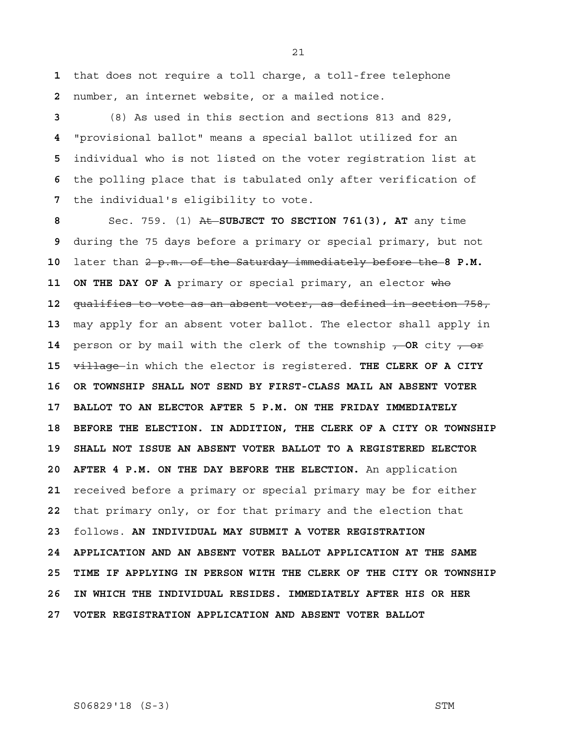**1** that does not require a toll charge, a toll-free telephone  **2** number, an internet website, or a mailed notice.

(8) As used in this section and sections 813 and 829, "provisional ballot" means a special ballot utilized for an individual who is not listed on the voter registration list at the polling place that is tabulated only after verification of the individual's eligibility to vote.

 **8** Sec. 759. (1) At **SUBJECT TO SECTION 761(3), AT** any time  **9** during the 75 days before a primary or special primary, but not **10** later than 2 p.m. of the Saturday immediately before the **8 P.M. 11 ON THE DAY OF A** primary or special primary, an elector who **12** qualifies to vote as an absent voter, as defined in section 758, **13** may apply for an absent voter ballot. The elector shall apply in **14** person or by mail with the clerk of the township  $-$ OR city  $-$ **15** village in which the elector is registered. **THE CLERK OF A CITY 16 OR TOWNSHIP SHALL NOT SEND BY FIRST-CLASS MAIL AN ABSENT VOTER 17 BALLOT TO AN ELECTOR AFTER 5 P.M. ON THE FRIDAY IMMEDIATELY 18 BEFORE THE ELECTION. IN ADDITION, THE CLERK OF A CITY OR TOWNSHIP 19 SHALL NOT ISSUE AN ABSENT VOTER BALLOT TO A REGISTERED ELECTOR 20 AFTER 4 P.M. ON THE DAY BEFORE THE ELECTION.** An application **21** received before a primary or special primary may be for either **22** that primary only, or for that primary and the election that **23** follows. **AN INDIVIDUAL MAY SUBMIT A VOTER REGISTRATION 24 APPLICATION AND AN ABSENT VOTER BALLOT APPLICATION AT THE SAME 25 TIME IF APPLYING IN PERSON WITH THE CLERK OF THE CITY OR TOWNSHIP 26 IN WHICH THE INDIVIDUAL RESIDES. IMMEDIATELY AFTER HIS OR HER 27 VOTER REGISTRATION APPLICATION AND ABSENT VOTER BALLOT** 

S06829'18 (S-3) STM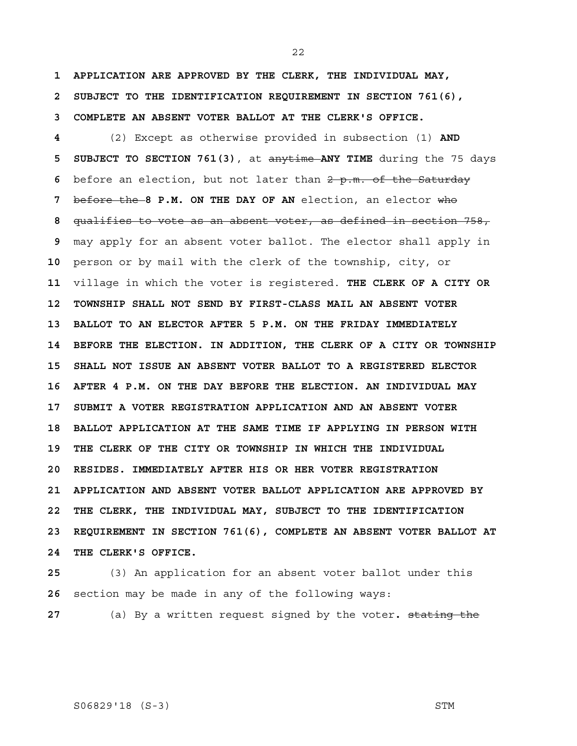**1 APPLICATION ARE APPROVED BY THE CLERK, THE INDIVIDUAL MAY, 2 SUBJECT TO THE IDENTIFICATION REQUIREMENT IN SECTION 761(6), 3 COMPLETE AN ABSENT VOTER BALLOT AT THE CLERK'S OFFICE.**

 **4** (2) Except as otherwise provided in subsection (1) **AND 5 SUBJECT TO SECTION 761(3)**, at anytime **ANY TIME** during the 75 days  **6** before an election, but not later than 2 p.m. of the Saturday  **7** before the **8 P.M. ON THE DAY OF AN** election, an elector who  **8** qualifies to vote as an absent voter, as defined in section 758,  **9** may apply for an absent voter ballot. The elector shall apply in **10** person or by mail with the clerk of the township, city, or **11** village in which the voter is registered. **THE CLERK OF A CITY OR 12 TOWNSHIP SHALL NOT SEND BY FIRST-CLASS MAIL AN ABSENT VOTER 13 BALLOT TO AN ELECTOR AFTER 5 P.M. ON THE FRIDAY IMMEDIATELY 14 BEFORE THE ELECTION. IN ADDITION, THE CLERK OF A CITY OR TOWNSHIP 15 SHALL NOT ISSUE AN ABSENT VOTER BALLOT TO A REGISTERED ELECTOR 16 AFTER 4 P.M. ON THE DAY BEFORE THE ELECTION. AN INDIVIDUAL MAY 17 SUBMIT A VOTER REGISTRATION APPLICATION AND AN ABSENT VOTER 18 BALLOT APPLICATION AT THE SAME TIME IF APPLYING IN PERSON WITH 19 THE CLERK OF THE CITY OR TOWNSHIP IN WHICH THE INDIVIDUAL 20 RESIDES. IMMEDIATELY AFTER HIS OR HER VOTER REGISTRATION 21 APPLICATION AND ABSENT VOTER BALLOT APPLICATION ARE APPROVED BY 22 THE CLERK, THE INDIVIDUAL MAY, SUBJECT TO THE IDENTIFICATION 23 REQUIREMENT IN SECTION 761(6), COMPLETE AN ABSENT VOTER BALLOT AT 24 THE CLERK'S OFFICE.**

**25** (3) An application for an absent voter ballot under this **26** section may be made in any of the following ways:

**27** (a) By a written request signed by the voter**.** stating the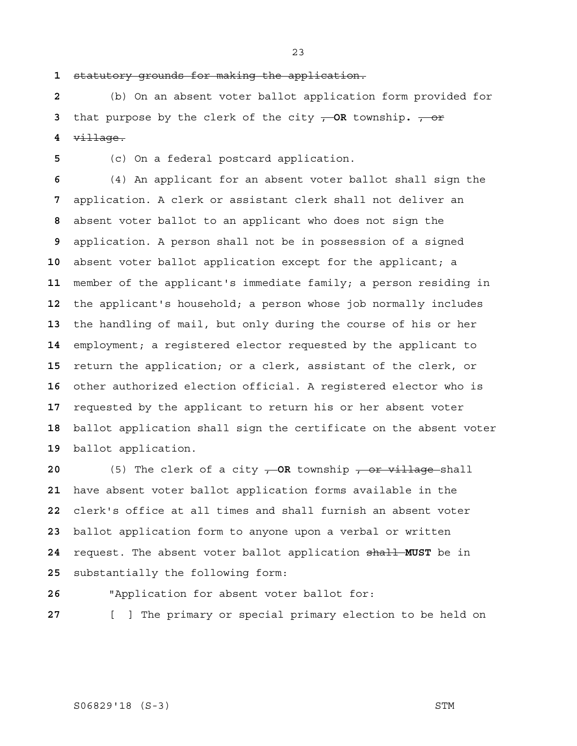statutory grounds for making the application.

(b) On an absent voter ballot application form provided for that purpose by the clerk of the city , **OR** township**.** , or village.

(c) On a federal postcard application.

(4) An applicant for an absent voter ballot shall sign the application. A clerk or assistant clerk shall not deliver an absent voter ballot to an applicant who does not sign the application. A person shall not be in possession of a signed absent voter ballot application except for the applicant; a member of the applicant's immediate family; a person residing in the applicant's household; a person whose job normally includes the handling of mail, but only during the course of his or her employment; a registered elector requested by the applicant to return the application; or a clerk, assistant of the clerk, or other authorized election official. A registered elector who is requested by the applicant to return his or her absent voter ballot application shall sign the certificate on the absent voter ballot application.

 (5) The clerk of a city **, OR** township , or village shall have absent voter ballot application forms available in the clerk's office at all times and shall furnish an absent voter ballot application form to anyone upon a verbal or written request. The absent voter ballot application shall **MUST** be in substantially the following form:

"Application for absent voter ballot for:

[ ] The primary or special primary election to be held on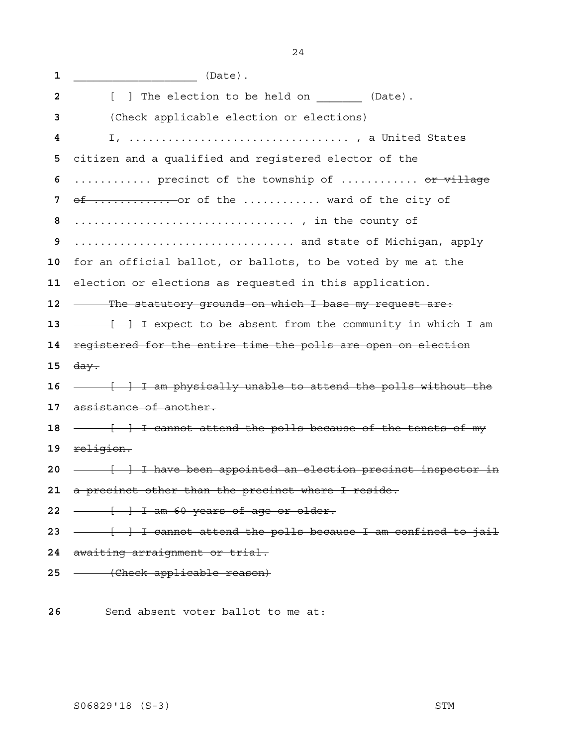| 1  | (Date).                                                                  |
|----|--------------------------------------------------------------------------|
| 2  | [ ] The election to be held on (Date).                                   |
| 3  | (Check applicable election or elections)                                 |
| 4  |                                                                          |
| 5  | citizen and a qualified and registered elector of the                    |
| 6  | precinct of the township of <del>or village</del>                        |
| 7  | of  or of the  ward of the city of                                       |
| 8  |                                                                          |
| 9  | and state of Michigan, apply                                             |
| 10 | for an official ballot, or ballots, to be voted by me at the             |
| 11 | election or elections as requested in this application.                  |
| 12 | - The statutory grounds on which I base my request are:                  |
| 13 |                                                                          |
| 14 | registered for the entire time the polls are open on election            |
| 15 | <del>day.</del>                                                          |
| 16 |                                                                          |
| 17 | assistance of another.                                                   |
| 18 | - I cannot attend the polls because of the tenets of my                  |
| 19 | religion.                                                                |
| 20 | - <del>[ ] I have been appointed an election precinct inspector in</del> |
|    | 21 a precinct other than the precinct where I reside.                    |
| 22 | - [ ] I am 60 years of age or older.                                     |
|    | 23 - + T cannot attend the polls because I am confined to jail           |
|    | 24 awaiting arraignment or trial.                                        |
|    | 25 - (Check applicable reason)                                           |
|    |                                                                          |

Send absent voter ballot to me at: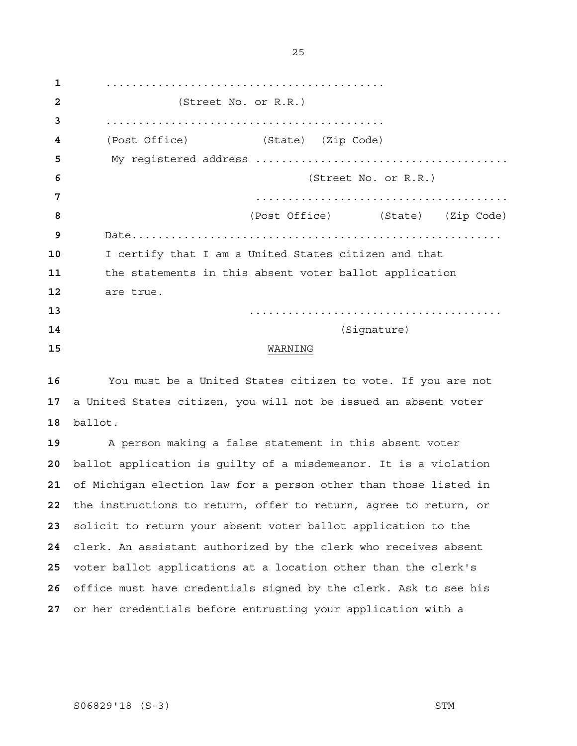........................................... (Street No. or R.R.) ........................................... (Post Office) (State) (Zip Code) My registered address ....................................... (Street No. or R.R.) ....................................... (Post Office) (State) (Zip Code) Date......................................................... I certify that I am a United States citizen and that the statements in this absent voter ballot application are true. ....................................... (Signature) WARNING

You must be a United States citizen to vote. If you are not a United States citizen, you will not be issued an absent voter ballot.

A person making a false statement in this absent voter ballot application is guilty of a misdemeanor. It is a violation of Michigan election law for a person other than those listed in the instructions to return, offer to return, agree to return, or solicit to return your absent voter ballot application to the clerk. An assistant authorized by the clerk who receives absent voter ballot applications at a location other than the clerk's office must have credentials signed by the clerk. Ask to see his or her credentials before entrusting your application with a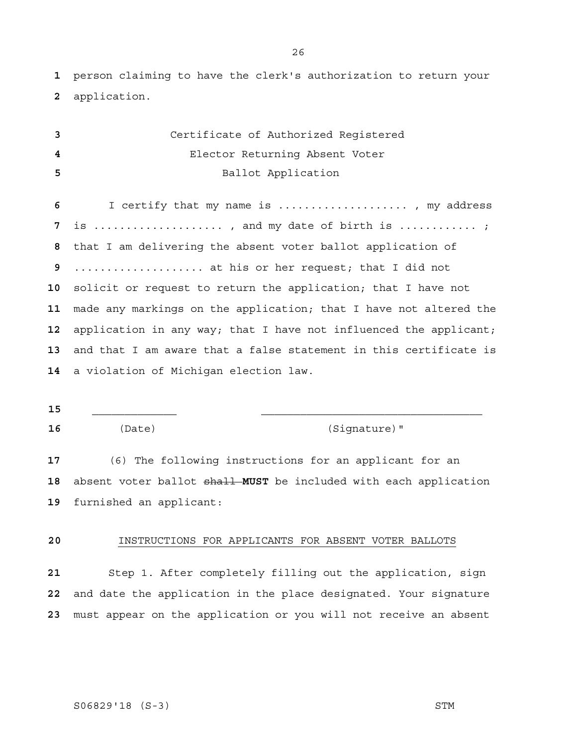person claiming to have the clerk's authorization to return your application.

| 3  | Certificate of Authorized Registered                              |
|----|-------------------------------------------------------------------|
| 4  | Elector Returning Absent Voter                                    |
| 5  | Ballot Application                                                |
|    |                                                                   |
| 6  | I certify that my name is  , my address                           |
| 7  | is , and my date of birth is ;                                    |
| 8  | that I am delivering the absent voter ballot application of       |
| 9  | at his or her request; that I did not                             |
| 10 | solicit or request to return the application; that I have not     |
| 11 | made any markings on the application; that I have not altered the |
| 12 | application in any way; that I have not influenced the applicant; |
| 13 | and that I am aware that a false statement in this certificate is |
|    | 14 a violation of Michigan election law.                          |
|    |                                                                   |
|    |                                                                   |

\_\_\_\_\_\_\_\_\_\_\_\_\_ \_\_\_\_\_\_\_\_\_\_\_\_\_\_\_\_\_\_\_\_\_\_\_\_\_\_\_\_\_\_\_\_\_\_

(Date) (Signature)"

(6) The following instructions for an applicant for an absent voter ballot shall **MUST** be included with each application furnished an applicant:

# INSTRUCTIONS FOR APPLICANTS FOR ABSENT VOTER BALLOTS

Step 1. After completely filling out the application, sign and date the application in the place designated. Your signature must appear on the application or you will not receive an absent

# S06829'18 (S-3) STM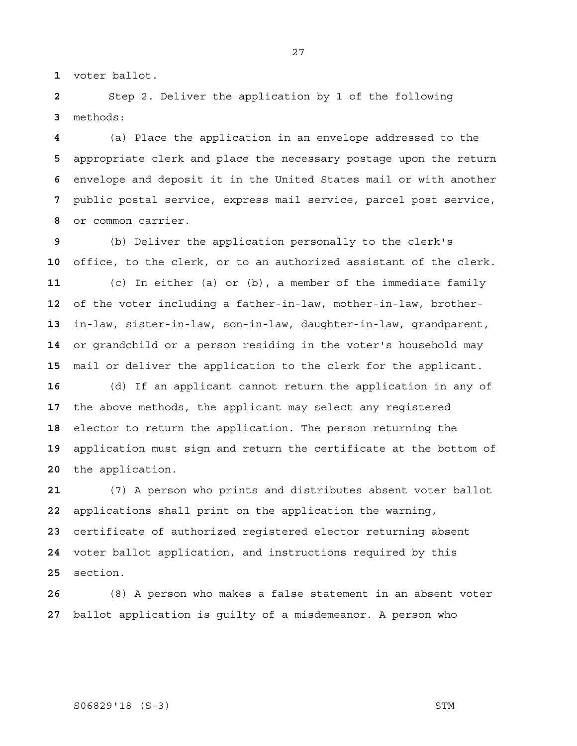voter ballot.

Step 2. Deliver the application by 1 of the following methods:

(a) Place the application in an envelope addressed to the appropriate clerk and place the necessary postage upon the return envelope and deposit it in the United States mail or with another public postal service, express mail service, parcel post service, or common carrier.

(b) Deliver the application personally to the clerk's office, to the clerk, or to an authorized assistant of the clerk. (c) In either (a) or (b), a member of the immediate family of the voter including a father-in-law, mother-in-law, brother-in-law, sister-in-law, son-in-law, daughter-in-law, grandparent, or grandchild or a person residing in the voter's household may mail or deliver the application to the clerk for the applicant.

(d) If an applicant cannot return the application in any of the above methods, the applicant may select any registered elector to return the application. The person returning the application must sign and return the certificate at the bottom of the application.

(7) A person who prints and distributes absent voter ballot applications shall print on the application the warning, certificate of authorized registered elector returning absent voter ballot application, and instructions required by this section.

(8) A person who makes a false statement in an absent voter ballot application is guilty of a misdemeanor. A person who

# S06829'18 (S-3) STM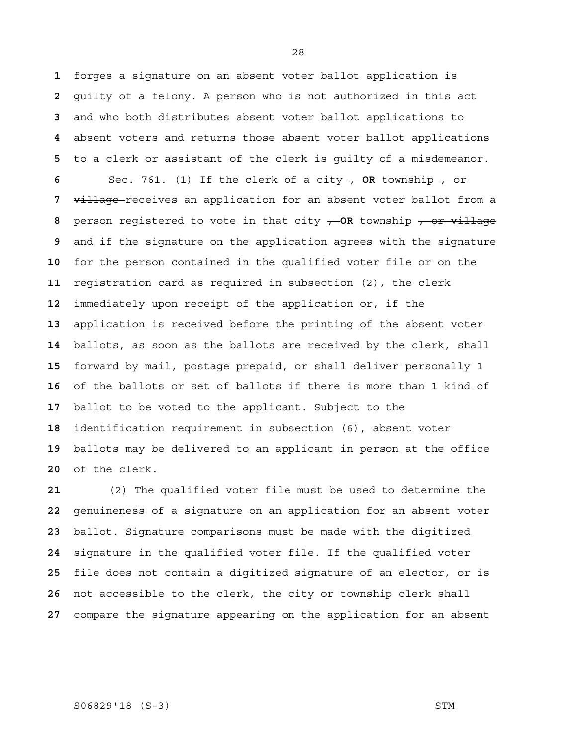forges a signature on an absent voter ballot application is guilty of a felony. A person who is not authorized in this act and who both distributes absent voter ballot applications to absent voters and returns those absent voter ballot applications to a clerk or assistant of the clerk is guilty of a misdemeanor.

 Sec. 761. (1) If the clerk of a city **, OR** township , or village receives an application for an absent voter ballot from a person registered to vote in that city , **OR** township , or village and if the signature on the application agrees with the signature for the person contained in the qualified voter file or on the registration card as required in subsection (2), the clerk immediately upon receipt of the application or, if the application is received before the printing of the absent voter ballots, as soon as the ballots are received by the clerk, shall forward by mail, postage prepaid, or shall deliver personally 1 of the ballots or set of ballots if there is more than 1 kind of ballot to be voted to the applicant. Subject to the identification requirement in subsection (6), absent voter ballots may be delivered to an applicant in person at the office of the clerk.

(2) The qualified voter file must be used to determine the genuineness of a signature on an application for an absent voter ballot. Signature comparisons must be made with the digitized signature in the qualified voter file. If the qualified voter file does not contain a digitized signature of an elector, or is not accessible to the clerk, the city or township clerk shall compare the signature appearing on the application for an absent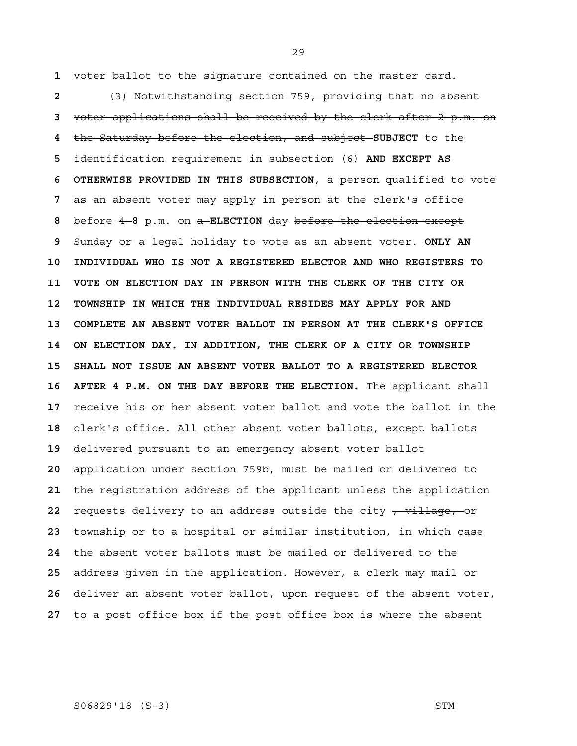voter ballot to the signature contained on the master card.

(3) Notwithstanding section 759, providing that no absent voter applications shall be received by the clerk after 2 p.m. on the Saturday before the election, and subject **SUBJECT** to the identification requirement in subsection (6) **AND EXCEPT AS 6 OTHERWISE PROVIDED IN THIS SUBSECTION**, a person qualified to vote as an absent voter may apply in person at the clerk's office before 4 **8** p.m. on a **ELECTION** day before the election except Sunday or a legal holiday to vote as an absent voter. **ONLY AN 10 INDIVIDUAL WHO IS NOT A REGISTERED ELECTOR AND WHO REGISTERS TO 11 VOTE ON ELECTION DAY IN PERSON WITH THE CLERK OF THE CITY OR 12 TOWNSHIP IN WHICH THE INDIVIDUAL RESIDES MAY APPLY FOR AND 13 COMPLETE AN ABSENT VOTER BALLOT IN PERSON AT THE CLERK'S OFFICE 14 ON ELECTION DAY. IN ADDITION, THE CLERK OF A CITY OR TOWNSHIP 15 SHALL NOT ISSUE AN ABSENT VOTER BALLOT TO A REGISTERED ELECTOR**  16 AFTER 4 P.M. ON THE DAY BEFORE THE ELECTION. The applicant shall receive his or her absent voter ballot and vote the ballot in the clerk's office. All other absent voter ballots, except ballots delivered pursuant to an emergency absent voter ballot application under section 759b, must be mailed or delivered to the registration address of the applicant unless the application requests delivery to an address outside the city  $\frac{1}{r}$  village, or township or to a hospital or similar institution, in which case the absent voter ballots must be mailed or delivered to the address given in the application. However, a clerk may mail or deliver an absent voter ballot, upon request of the absent voter, to a post office box if the post office box is where the absent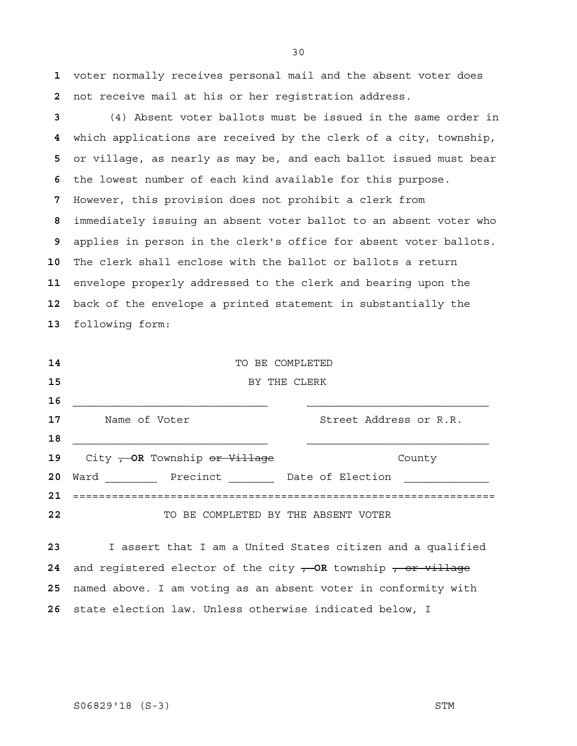voter normally receives personal mail and the absent voter does not receive mail at his or her registration address.

(4) Absent voter ballots must be issued in the same order in which applications are received by the clerk of a city, township, or village, as nearly as may be, and each ballot issued must bear the lowest number of each kind available for this purpose. However, this provision does not prohibit a clerk from immediately issuing an absent voter ballot to an absent voter who applies in person in the clerk's office for absent voter ballots. The clerk shall enclose with the ballot or ballots a return envelope properly addressed to the clerk and bearing upon the back of the envelope a printed statement in substantially the following form:

| 14 | TO BE COMPLETED                                    |
|----|----------------------------------------------------|
| 15 | BY THE CLERK                                       |
| 16 |                                                    |
| 17 | Street Address or R.R.<br>Name of Voter            |
| 18 |                                                    |
| 19 | City - OR Township <del>or Village</del><br>County |
| 20 | Ward Precinct Date of Election                     |
| 21 |                                                    |
| 22 | BE COMPLETED BY THE ABSENT VOTER<br>TO.            |

I assert that I am a United States citizen and a qualified 24 and registered elector of the city  $\rightarrow$  OR township  $\rightarrow$  or village named above. I am voting as an absent voter in conformity with state election law. Unless otherwise indicated below, I

S06829'18 (S-3) STM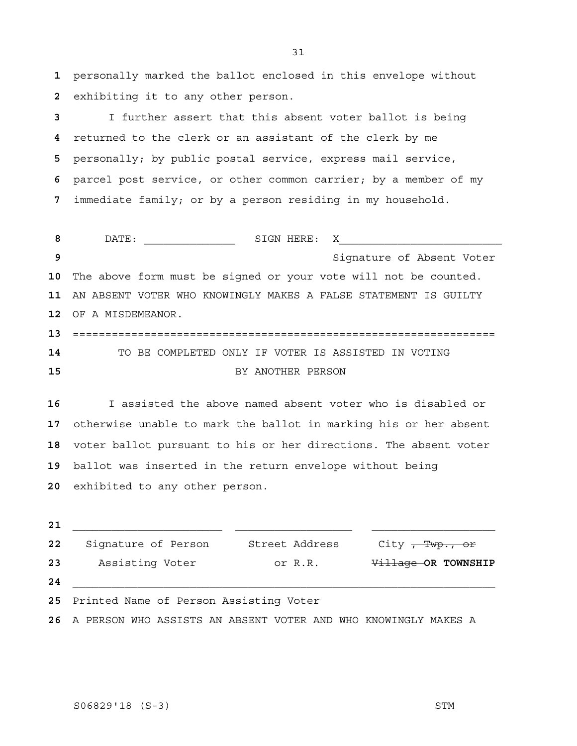personally marked the ballot enclosed in this envelope without exhibiting it to any other person.

I further assert that this absent voter ballot is being returned to the clerk or an assistant of the clerk by me personally; by public postal service, express mail service, parcel post service, or other common carrier; by a member of my immediate family; or by a person residing in my household.

DATE: \_\_\_\_\_\_\_\_\_\_\_\_\_\_ SIGN HERE: X\_\_\_\_\_\_\_\_\_\_\_\_\_\_\_\_\_\_\_\_\_\_\_\_\_ Signature of Absent Voter The above form must be signed or your vote will not be counted. AN ABSENT VOTER WHO KNOWINGLY MAKES A FALSE STATEMENT IS GUILTY OF A MISDEMEANOR. ================================================================= TO BE COMPLETED ONLY IF VOTER IS ASSISTED IN VOTING BY ANOTHER PERSON

I assisted the above named absent voter who is disabled or otherwise unable to mark the ballot in marking his or her absent voter ballot pursuant to his or her directions. The absent voter ballot was inserted in the return envelope without being exhibited to any other person.

\_\_\_\_\_\_\_\_\_\_\_\_\_\_\_\_\_\_\_\_\_\_\_ \_\_\_\_\_\_\_\_\_\_\_\_\_\_\_\_\_\_ \_\_\_\_\_\_\_\_\_\_\_\_\_\_\_\_\_\_\_ 22 Signature of Person Street Address City , Twp., or 23 Assisting Voter **COLOGY CORT OF R.R.** Village OR TOWNSHIP \_\_\_\_\_\_\_\_\_\_\_\_\_\_\_\_\_\_\_\_\_\_\_\_\_\_\_\_\_\_\_\_\_\_\_\_\_\_\_\_\_\_\_\_\_\_\_\_\_\_\_\_\_\_\_\_\_\_\_\_\_\_\_\_\_ Printed Name of Person Assisting Voter

A PERSON WHO ASSISTS AN ABSENT VOTER AND WHO KNOWINGLY MAKES A

S06829'18 (S-3) STM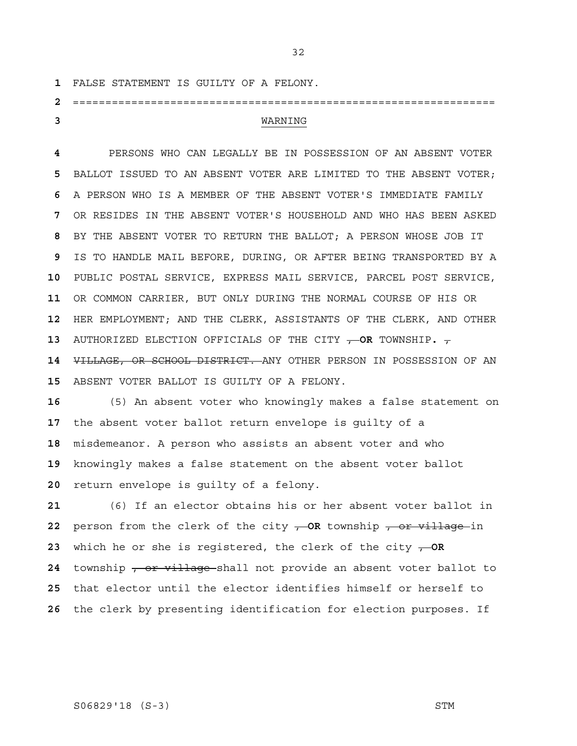FALSE STATEMENT IS GUILTY OF A FELONY.

# ================================================================= WARNING

PERSONS WHO CAN LEGALLY BE IN POSSESSION OF AN ABSENT VOTER BALLOT ISSUED TO AN ABSENT VOTER ARE LIMITED TO THE ABSENT VOTER; A PERSON WHO IS A MEMBER OF THE ABSENT VOTER'S IMMEDIATE FAMILY OR RESIDES IN THE ABSENT VOTER'S HOUSEHOLD AND WHO HAS BEEN ASKED BY THE ABSENT VOTER TO RETURN THE BALLOT; A PERSON WHOSE JOB IT IS TO HANDLE MAIL BEFORE, DURING, OR AFTER BEING TRANSPORTED BY A PUBLIC POSTAL SERVICE, EXPRESS MAIL SERVICE, PARCEL POST SERVICE, OR COMMON CARRIER, BUT ONLY DURING THE NORMAL COURSE OF HIS OR HER EMPLOYMENT; AND THE CLERK, ASSISTANTS OF THE CLERK, AND OTHER AUTHORIZED ELECTION OFFICIALS OF THE CITY , **OR** TOWNSHIP**.** , VILLAGE, OR SCHOOL DISTRICT. ANY OTHER PERSON IN POSSESSION OF AN ABSENT VOTER BALLOT IS GUILTY OF A FELONY.

(5) An absent voter who knowingly makes a false statement on the absent voter ballot return envelope is guilty of a misdemeanor. A person who assists an absent voter and who knowingly makes a false statement on the absent voter ballot return envelope is guilty of a felony.

(6) If an elector obtains his or her absent voter ballot in person from the clerk of the city  $\rightarrow$  OR township  $\rightarrow$  or village in which he or she is registered, the clerk of the city , **OR**  township , or village shall not provide an absent voter ballot to that elector until the elector identifies himself or herself to the clerk by presenting identification for election purposes. If

# S06829'18 (S-3) STM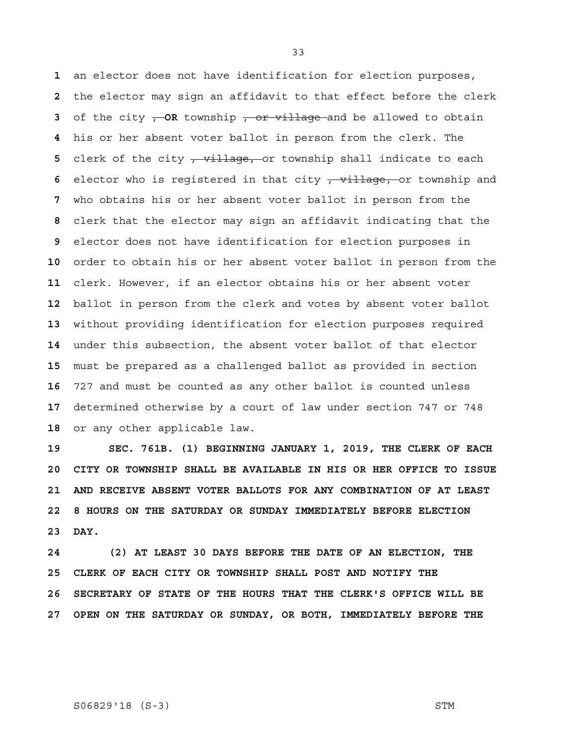an elector does not have identification for election purposes, the elector may sign an affidavit to that effect before the clerk of the city – OR township – or village and be allowed to obtain his or her absent voter ballot in person from the clerk. The 5 clerk of the city <del>, village, o</del>r township shall indicate to each elector who is reqistered in that city <del>, village, o</del>r township and who obtains his or her absent voter ballot in person from the clerk that the elector may sign an affidavit indicating that the elector does not have identification for election purposes in order to obtain his or her absent voter ballot in person from the clerk. However, if an elector obtains his or her absent voter ballot in person from the clerk and votes by absent voter ballot without providing identification for election purposes required under this subsection, the absent voter ballot of that elector must be prepared as a challenged ballot as provided in section 727 and must be counted as any other ballot is counted unless determined otherwise by a court of law under section 747 or 748 or any other applicable law.

**19 SEC. 761B. (1) BEGINNING JANUARY 1, 2019, THE CLERK OF EACH 20 CITY OR TOWNSHIP SHALL BE AVAILABLE IN HIS OR HER OFFICE TO ISSUE 21 AND RECEIVE ABSENT VOTER BALLOTS FOR ANY COMBINATION OF AT LEAST 22 8 HOURS ON THE SATURDAY OR SUNDAY IMMEDIATELY BEFORE ELECTION 23 DAY.** 

**24 (2) AT LEAST 30 DAYS BEFORE THE DATE OF AN ELECTION, THE 25 CLERK OF EACH CITY OR TOWNSHIP SHALL POST AND NOTIFY THE 26 SECRETARY OF STATE OF THE HOURS THAT THE CLERK'S OFFICE WILL BE 27 OPEN ON THE SATURDAY OR SUNDAY, OR BOTH, IMMEDIATELY BEFORE THE** 

#### S06829'18 (S-3) STM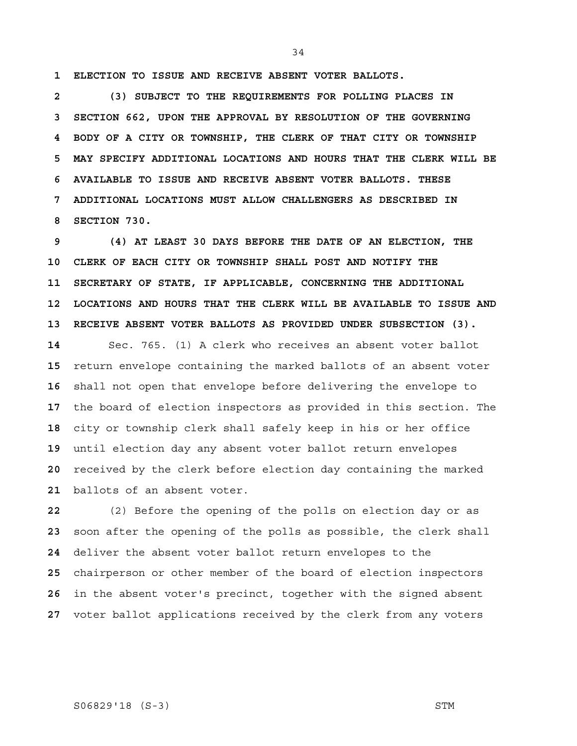**1 ELECTION TO ISSUE AND RECEIVE ABSENT VOTER BALLOTS.**

 **2 (3) SUBJECT TO THE REQUIREMENTS FOR POLLING PLACES IN 3 SECTION 662, UPON THE APPROVAL BY RESOLUTION OF THE GOVERNING 4 BODY OF A CITY OR TOWNSHIP, THE CLERK OF THAT CITY OR TOWNSHIP 5 MAY SPECIFY ADDITIONAL LOCATIONS AND HOURS THAT THE CLERK WILL BE 6 AVAILABLE TO ISSUE AND RECEIVE ABSENT VOTER BALLOTS. THESE 7 ADDITIONAL LOCATIONS MUST ALLOW CHALLENGERS AS DESCRIBED IN 8 SECTION 730.** 

 **9 (4) AT LEAST 30 DAYS BEFORE THE DATE OF AN ELECTION, THE 10 CLERK OF EACH CITY OR TOWNSHIP SHALL POST AND NOTIFY THE 11 SECRETARY OF STATE, IF APPLICABLE, CONCERNING THE ADDITIONAL 12 LOCATIONS AND HOURS THAT THE CLERK WILL BE AVAILABLE TO ISSUE AND 13 RECEIVE ABSENT VOTER BALLOTS AS PROVIDED UNDER SUBSECTION (3).** 

Sec. 765. (1) A clerk who receives an absent voter ballot return envelope containing the marked ballots of an absent voter shall not open that envelope before delivering the envelope to the board of election inspectors as provided in this section. The city or township clerk shall safely keep in his or her office until election day any absent voter ballot return envelopes received by the clerk before election day containing the marked ballots of an absent voter.

(2) Before the opening of the polls on election day or as soon after the opening of the polls as possible, the clerk shall deliver the absent voter ballot return envelopes to the chairperson or other member of the board of election inspectors in the absent voter's precinct, together with the signed absent voter ballot applications received by the clerk from any voters

# S06829'18 (S-3) STM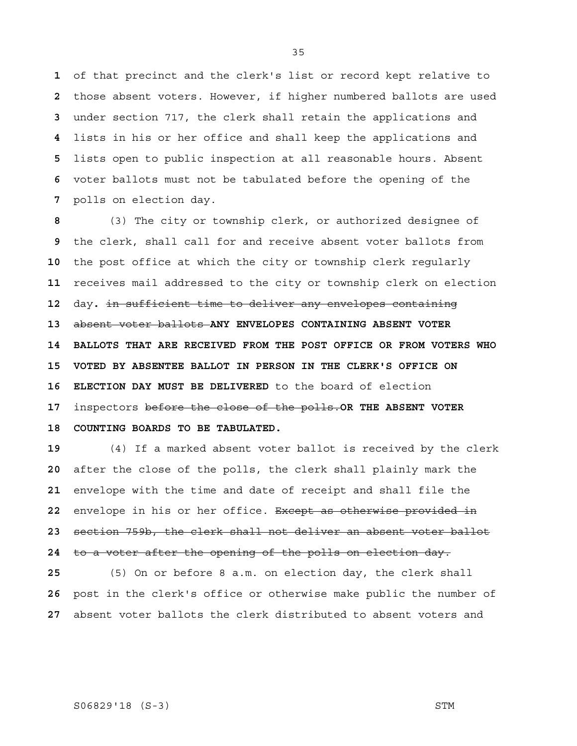of that precinct and the clerk's list or record kept relative to those absent voters. However, if higher numbered ballots are used under section 717, the clerk shall retain the applications and lists in his or her office and shall keep the applications and lists open to public inspection at all reasonable hours. Absent voter ballots must not be tabulated before the opening of the polls on election day.

(3) The city or township clerk, or authorized designee of the clerk, shall call for and receive absent voter ballots from the post office at which the city or township clerk regularly receives mail addressed to the city or township clerk on election day**.** in sufficient time to deliver any envelopes containing absent voter ballots **ANY ENVELOPES CONTAINING ABSENT VOTER 14 BALLOTS THAT ARE RECEIVED FROM THE POST OFFICE OR FROM VOTERS WHO 15 VOTED BY ABSENTEE BALLOT IN PERSON IN THE CLERK'S OFFICE ON 16 ELECTION DAY MUST BE DELIVERED** to the board of election inspectors before the close of the polls.**OR THE ABSENT VOTER 18 COUNTING BOARDS TO BE TABULATED.**

(4) If a marked absent voter ballot is received by the clerk after the close of the polls, the clerk shall plainly mark the envelope with the time and date of receipt and shall file the envelope in his or her office. Except as otherwise provided in section 759b, the clerk shall not deliver an absent voter ballot to a voter after the opening of the polls on election day.

(5) On or before 8 a.m. on election day, the clerk shall post in the clerk's office or otherwise make public the number of absent voter ballots the clerk distributed to absent voters and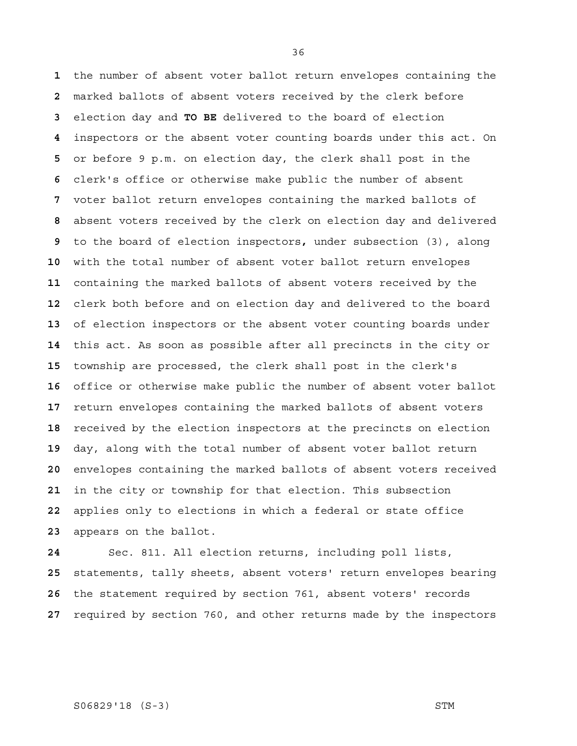the number of absent voter ballot return envelopes containing the marked ballots of absent voters received by the clerk before election day and **TO BE** delivered to the board of election inspectors or the absent voter counting boards under this act. On or before 9 p.m. on election day, the clerk shall post in the clerk's office or otherwise make public the number of absent voter ballot return envelopes containing the marked ballots of absent voters received by the clerk on election day and delivered to the board of election inspectors**,** under subsection (3), along with the total number of absent voter ballot return envelopes containing the marked ballots of absent voters received by the clerk both before and on election day and delivered to the board of election inspectors or the absent voter counting boards under this act. As soon as possible after all precincts in the city or township are processed, the clerk shall post in the clerk's office or otherwise make public the number of absent voter ballot return envelopes containing the marked ballots of absent voters received by the election inspectors at the precincts on election day, along with the total number of absent voter ballot return envelopes containing the marked ballots of absent voters received in the city or township for that election. This subsection applies only to elections in which a federal or state office appears on the ballot.

Sec. 811. All election returns, including poll lists, statements, tally sheets, absent voters' return envelopes bearing the statement required by section 761, absent voters' records required by section 760, and other returns made by the inspectors

#### S06829'18 (S-3) STM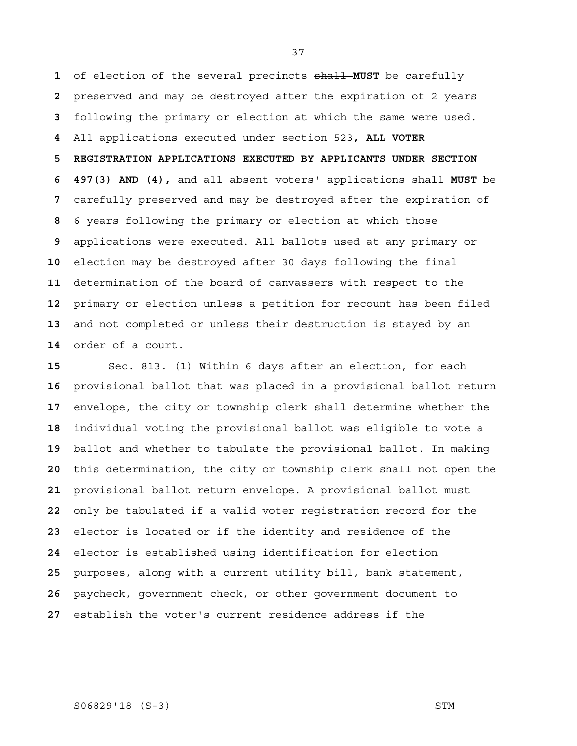of election of the several precincts shall **MUST** be carefully preserved and may be destroyed after the expiration of 2 years following the primary or election at which the same were used. All applications executed under section 523**, ALL VOTER 5 REGISTRATION APPLICATIONS EXECUTED BY APPLICANTS UNDER SECTION 6 497(3) AND (4),** and all absent voters' applications shall **MUST** be carefully preserved and may be destroyed after the expiration of 6 years following the primary or election at which those applications were executed. All ballots used at any primary or election may be destroyed after 30 days following the final determination of the board of canvassers with respect to the primary or election unless a petition for recount has been filed and not completed or unless their destruction is stayed by an order of a court.

Sec. 813. (1) Within 6 days after an election, for each provisional ballot that was placed in a provisional ballot return envelope, the city or township clerk shall determine whether the individual voting the provisional ballot was eligible to vote a ballot and whether to tabulate the provisional ballot. In making this determination, the city or township clerk shall not open the provisional ballot return envelope. A provisional ballot must only be tabulated if a valid voter registration record for the elector is located or if the identity and residence of the elector is established using identification for election purposes, along with a current utility bill, bank statement, paycheck, government check, or other government document to establish the voter's current residence address if the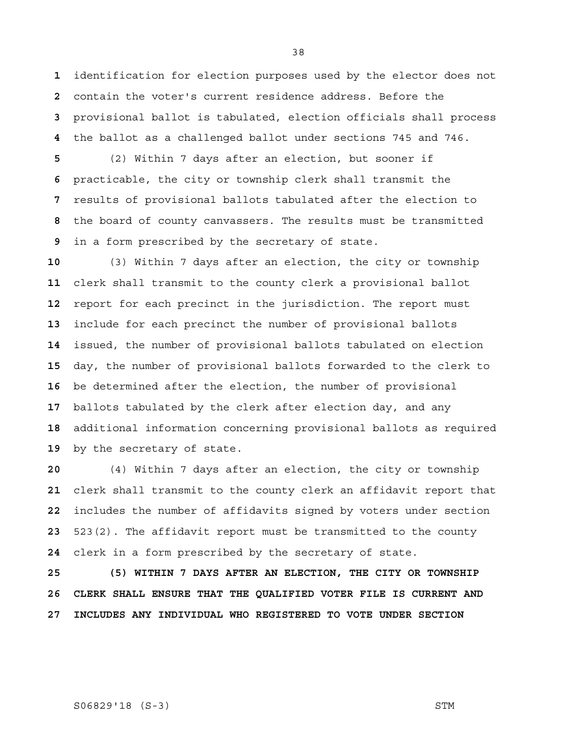identification for election purposes used by the elector does not contain the voter's current residence address. Before the provisional ballot is tabulated, election officials shall process the ballot as a challenged ballot under sections 745 and 746.

(2) Within 7 days after an election, but sooner if practicable, the city or township clerk shall transmit the results of provisional ballots tabulated after the election to the board of county canvassers. The results must be transmitted in a form prescribed by the secretary of state.

(3) Within 7 days after an election, the city or township clerk shall transmit to the county clerk a provisional ballot report for each precinct in the jurisdiction. The report must include for each precinct the number of provisional ballots issued, the number of provisional ballots tabulated on election day, the number of provisional ballots forwarded to the clerk to be determined after the election, the number of provisional ballots tabulated by the clerk after election day, and any additional information concerning provisional ballots as required by the secretary of state.

(4) Within 7 days after an election, the city or township clerk shall transmit to the county clerk an affidavit report that includes the number of affidavits signed by voters under section 523(2). The affidavit report must be transmitted to the county clerk in a form prescribed by the secretary of state.

**25 (5) WITHIN 7 DAYS AFTER AN ELECTION, THE CITY OR TOWNSHIP 26 CLERK SHALL ENSURE THAT THE QUALIFIED VOTER FILE IS CURRENT AND 27 INCLUDES ANY INDIVIDUAL WHO REGISTERED TO VOTE UNDER SECTION** 

#### S06829'18 (S-3) STM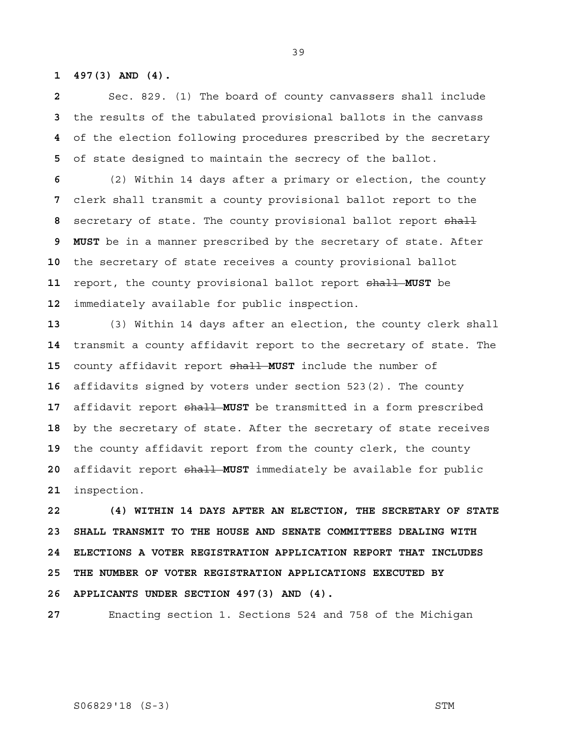**1 497(3) AND (4).** 

 Sec. 829. (1) The board of county canvassers shall include the results of the tabulated provisional ballots in the canvass of the election following procedures prescribed by the secretary of state designed to maintain the secrecy of the ballot.

(2) Within 14 days after a primary or election, the county clerk shall transmit a county provisional ballot report to the secretary of state. The county provisional ballot report shall  **9 MUST** be in a manner prescribed by the secretary of state. After the secretary of state receives a county provisional ballot report, the county provisional ballot report shall **MUST** be immediately available for public inspection.

(3) Within 14 days after an election, the county clerk shall transmit a county affidavit report to the secretary of state. The county affidavit report shall **MUST** include the number of affidavits signed by voters under section 523(2). The county affidavit report shall **MUST** be transmitted in a form prescribed by the secretary of state. After the secretary of state receives the county affidavit report from the county clerk, the county affidavit report shall **MUST** immediately be available for public inspection.

**22 (4) WITHIN 14 DAYS AFTER AN ELECTION, THE SECRETARY OF STATE 23 SHALL TRANSMIT TO THE HOUSE AND SENATE COMMITTEES DEALING WITH 24 ELECTIONS A VOTER REGISTRATION APPLICATION REPORT THAT INCLUDES 25 THE NUMBER OF VOTER REGISTRATION APPLICATIONS EXECUTED BY 26 APPLICANTS UNDER SECTION 497(3) AND (4).** 

Enacting section 1. Sections 524 and 758 of the Michigan

S06829'18 (S-3) STM